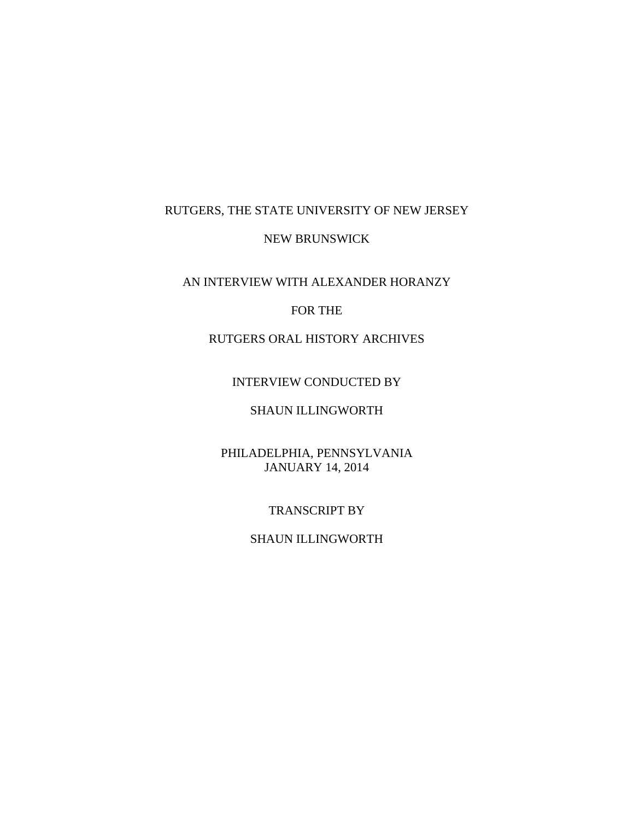# RUTGERS, THE STATE UNIVERSITY OF NEW JERSEY

## NEW BRUNSWICK

AN INTERVIEW WITH ALEXANDER HORANZY

# FOR THE

# RUTGERS ORAL HISTORY ARCHIVES

# INTERVIEW CONDUCTED BY

# SHAUN ILLINGWORTH

# PHILADELPHIA, PENNSYLVANIA JANUARY 14, 2014

### TRANSCRIPT BY

# SHAUN ILLINGWORTH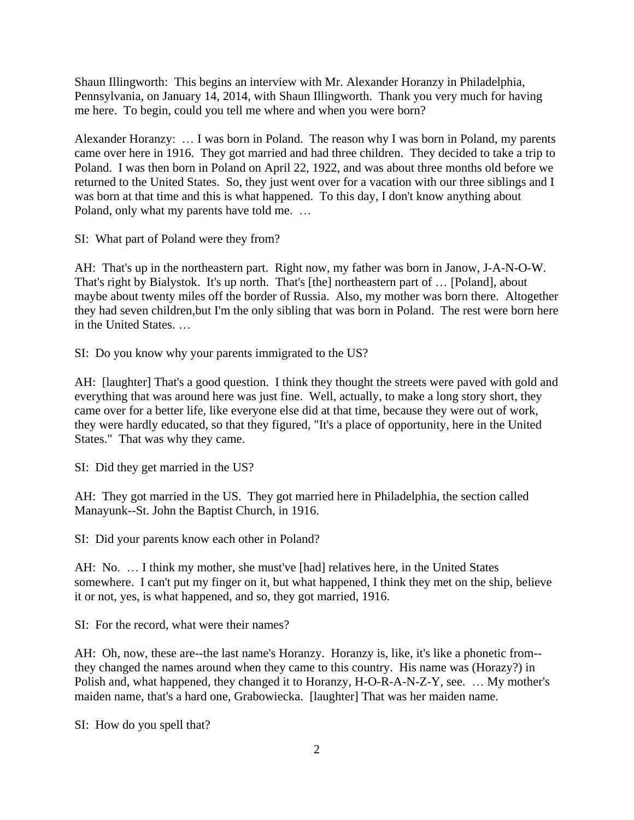Shaun Illingworth: This begins an interview with Mr. Alexander Horanzy in Philadelphia, Pennsylvania, on January 14, 2014, with Shaun Illingworth. Thank you very much for having me here. To begin, could you tell me where and when you were born?

Alexander Horanzy: … I was born in Poland. The reason why I was born in Poland, my parents came over here in 1916. They got married and had three children. They decided to take a trip to Poland. I was then born in Poland on April 22, 1922, and was about three months old before we returned to the United States. So, they just went over for a vacation with our three siblings and I was born at that time and this is what happened. To this day, I don't know anything about Poland, only what my parents have told me. …

SI: What part of Poland were they from?

AH: That's up in the northeastern part. Right now, my father was born in Janow, J-A-N-O-W. That's right by Bialystok. It's up north. That's [the] northeastern part of … [Poland], about maybe about twenty miles off the border of Russia. Also, my mother was born there. Altogether they had seven children,but I'm the only sibling that was born in Poland. The rest were born here in the United States. …

SI: Do you know why your parents immigrated to the US?

AH: [laughter] That's a good question. I think they thought the streets were paved with gold and everything that was around here was just fine. Well, actually, to make a long story short, they came over for a better life, like everyone else did at that time, because they were out of work, they were hardly educated, so that they figured, "It's a place of opportunity, here in the United States." That was why they came.

SI: Did they get married in the US?

AH: They got married in the US. They got married here in Philadelphia, the section called Manayunk--St. John the Baptist Church, in 1916.

SI: Did your parents know each other in Poland?

AH: No. … I think my mother, she must've [had] relatives here, in the United States somewhere. I can't put my finger on it, but what happened, I think they met on the ship, believe it or not, yes, is what happened, and so, they got married, 1916.

SI: For the record, what were their names?

AH: Oh, now, these are--the last name's Horanzy. Horanzy is, like, it's like a phonetic from- they changed the names around when they came to this country. His name was (Horazy?) in Polish and, what happened, they changed it to Horanzy, H-O-R-A-N-Z-Y, see. … My mother's maiden name, that's a hard one, Grabowiecka. [laughter] That was her maiden name.

SI: How do you spell that?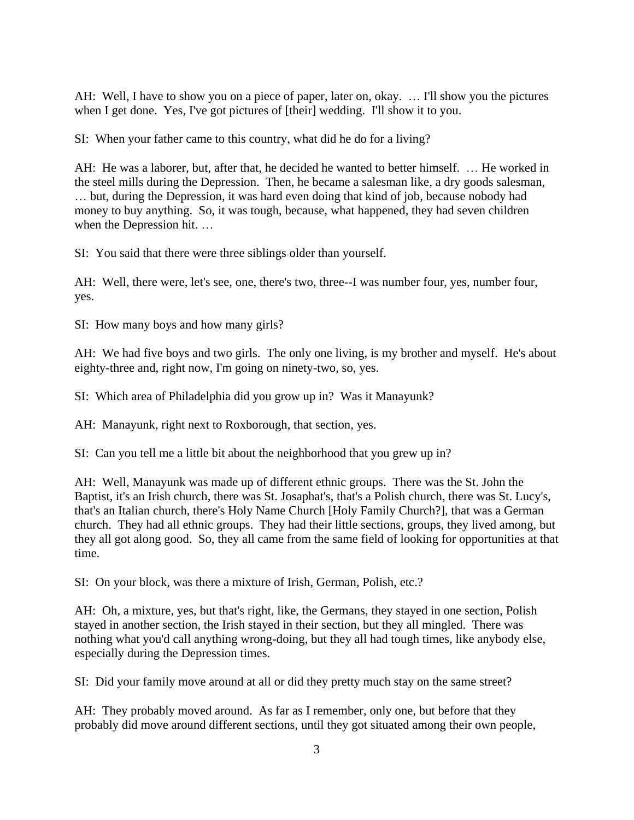AH: Well, I have to show you on a piece of paper, later on, okay. ... I'll show you the pictures when I get done. Yes, I've got pictures of [their] wedding. I'll show it to you.

SI: When your father came to this country, what did he do for a living?

AH: He was a laborer, but, after that, he decided he wanted to better himself. … He worked in the steel mills during the Depression. Then, he became a salesman like, a dry goods salesman, … but, during the Depression, it was hard even doing that kind of job, because nobody had money to buy anything. So, it was tough, because, what happened, they had seven children when the Depression hit. …

SI: You said that there were three siblings older than yourself.

AH: Well, there were, let's see, one, there's two, three--I was number four, yes, number four, yes.

SI: How many boys and how many girls?

AH: We had five boys and two girls. The only one living, is my brother and myself. He's about eighty-three and, right now, I'm going on ninety-two, so, yes.

SI: Which area of Philadelphia did you grow up in? Was it Manayunk?

AH: Manayunk, right next to Roxborough, that section, yes.

SI: Can you tell me a little bit about the neighborhood that you grew up in?

AH: Well, Manayunk was made up of different ethnic groups. There was the St. John the Baptist, it's an Irish church, there was St. Josaphat's, that's a Polish church, there was St. Lucy's, that's an Italian church, there's Holy Name Church [Holy Family Church?], that was a German church. They had all ethnic groups. They had their little sections, groups, they lived among, but they all got along good. So, they all came from the same field of looking for opportunities at that time.

SI: On your block, was there a mixture of Irish, German, Polish, etc.?

AH: Oh, a mixture, yes, but that's right, like, the Germans, they stayed in one section, Polish stayed in another section, the Irish stayed in their section, but they all mingled. There was nothing what you'd call anything wrong-doing, but they all had tough times, like anybody else, especially during the Depression times.

SI: Did your family move around at all or did they pretty much stay on the same street?

AH: They probably moved around. As far as I remember, only one, but before that they probably did move around different sections, until they got situated among their own people,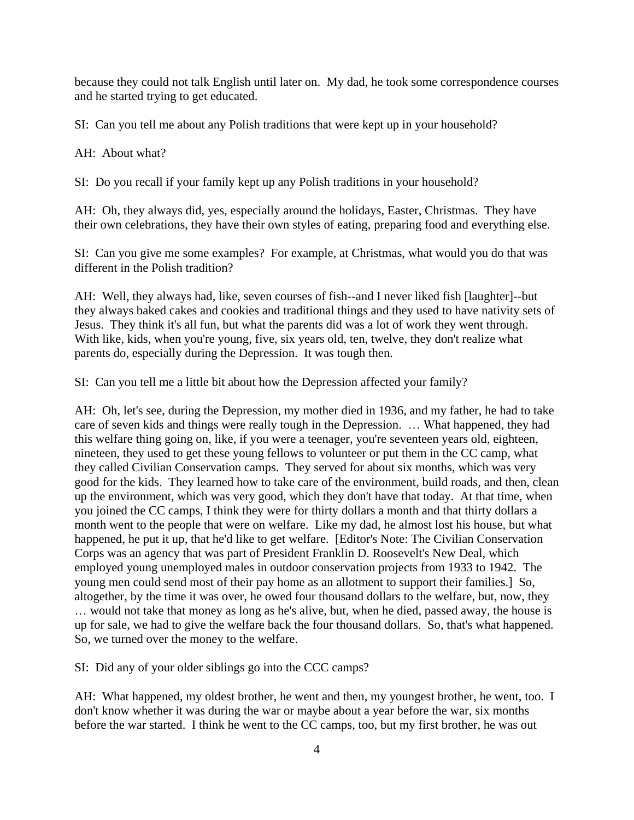because they could not talk English until later on. My dad, he took some correspondence courses and he started trying to get educated.

SI: Can you tell me about any Polish traditions that were kept up in your household?

AH: About what?

SI: Do you recall if your family kept up any Polish traditions in your household?

AH: Oh, they always did, yes, especially around the holidays, Easter, Christmas. They have their own celebrations, they have their own styles of eating, preparing food and everything else.

SI: Can you give me some examples? For example, at Christmas, what would you do that was different in the Polish tradition?

AH: Well, they always had, like, seven courses of fish--and I never liked fish [laughter]--but they always baked cakes and cookies and traditional things and they used to have nativity sets of Jesus. They think it's all fun, but what the parents did was a lot of work they went through. With like, kids, when you're young, five, six years old, ten, twelve, they don't realize what parents do, especially during the Depression. It was tough then.

SI: Can you tell me a little bit about how the Depression affected your family?

AH: Oh, let's see, during the Depression, my mother died in 1936, and my father, he had to take care of seven kids and things were really tough in the Depression. … What happened, they had this welfare thing going on, like, if you were a teenager, you're seventeen years old, eighteen, nineteen, they used to get these young fellows to volunteer or put them in the CC camp, what they called Civilian Conservation camps. They served for about six months, which was very good for the kids. They learned how to take care of the environment, build roads, and then, clean up the environment, which was very good, which they don't have that today. At that time, when you joined the CC camps, I think they were for thirty dollars a month and that thirty dollars a month went to the people that were on welfare. Like my dad, he almost lost his house, but what happened, he put it up, that he'd like to get welfare. [Editor's Note: The Civilian Conservation Corps was an agency that was part of President Franklin D. Roosevelt's New Deal, which employed young unemployed males in outdoor conservation projects from 1933 to 1942. The young men could send most of their pay home as an allotment to support their families.] So, altogether, by the time it was over, he owed four thousand dollars to the welfare, but, now, they … would not take that money as long as he's alive, but, when he died, passed away, the house is up for sale, we had to give the welfare back the four thousand dollars. So, that's what happened. So, we turned over the money to the welfare.

SI: Did any of your older siblings go into the CCC camps?

AH: What happened, my oldest brother, he went and then, my youngest brother, he went, too. I don't know whether it was during the war or maybe about a year before the war, six months before the war started. I think he went to the CC camps, too, but my first brother, he was out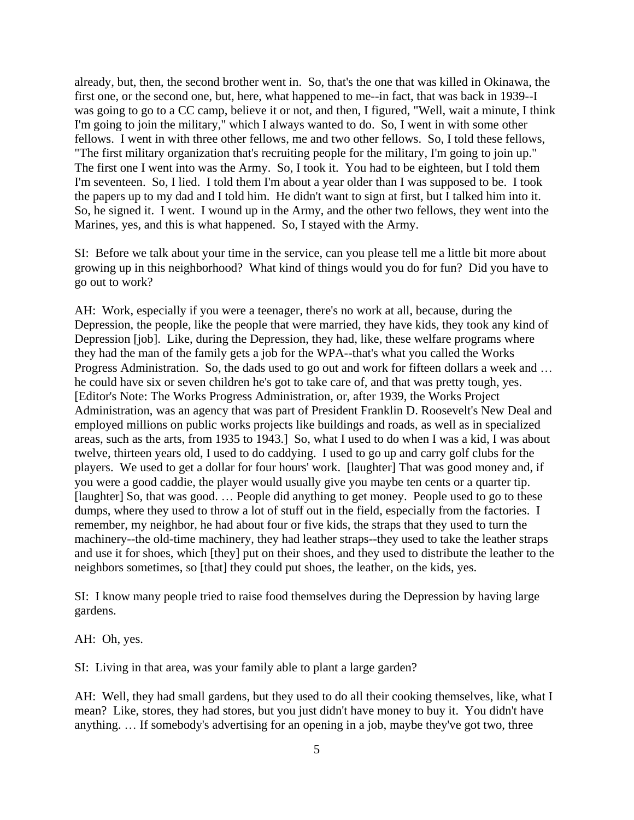already, but, then, the second brother went in. So, that's the one that was killed in Okinawa, the first one, or the second one, but, here, what happened to me--in fact, that was back in 1939--I was going to go to a CC camp, believe it or not, and then, I figured, "Well, wait a minute, I think I'm going to join the military," which I always wanted to do. So, I went in with some other fellows. I went in with three other fellows, me and two other fellows. So, I told these fellows, "The first military organization that's recruiting people for the military, I'm going to join up." The first one I went into was the Army. So, I took it. You had to be eighteen, but I told them I'm seventeen. So, I lied. I told them I'm about a year older than I was supposed to be. I took the papers up to my dad and I told him. He didn't want to sign at first, but I talked him into it. So, he signed it. I went. I wound up in the Army, and the other two fellows, they went into the Marines, yes, and this is what happened. So, I stayed with the Army.

SI: Before we talk about your time in the service, can you please tell me a little bit more about growing up in this neighborhood? What kind of things would you do for fun? Did you have to go out to work?

AH: Work, especially if you were a teenager, there's no work at all, because, during the Depression, the people, like the people that were married, they have kids, they took any kind of Depression [job]. Like, during the Depression, they had, like, these welfare programs where they had the man of the family gets a job for the WPA--that's what you called the Works Progress Administration. So, the dads used to go out and work for fifteen dollars a week and … he could have six or seven children he's got to take care of, and that was pretty tough, yes. [Editor's Note: The Works Progress Administration, or, after 1939, the Works Project Administration, was an agency that was part of President Franklin D. Roosevelt's New Deal and employed millions on public works projects like buildings and roads, as well as in specialized areas, such as the arts, from 1935 to 1943.] So, what I used to do when I was a kid, I was about twelve, thirteen years old, I used to do caddying. I used to go up and carry golf clubs for the players. We used to get a dollar for four hours' work. [laughter] That was good money and, if you were a good caddie, the player would usually give you maybe ten cents or a quarter tip. [laughter] So, that was good. … People did anything to get money. People used to go to these dumps, where they used to throw a lot of stuff out in the field, especially from the factories. I remember, my neighbor, he had about four or five kids, the straps that they used to turn the machinery--the old-time machinery, they had leather straps--they used to take the leather straps and use it for shoes, which [they] put on their shoes, and they used to distribute the leather to the neighbors sometimes, so [that] they could put shoes, the leather, on the kids, yes.

SI: I know many people tried to raise food themselves during the Depression by having large gardens.

AH: Oh, yes.

SI: Living in that area, was your family able to plant a large garden?

AH: Well, they had small gardens, but they used to do all their cooking themselves, like, what I mean? Like, stores, they had stores, but you just didn't have money to buy it. You didn't have anything. … If somebody's advertising for an opening in a job, maybe they've got two, three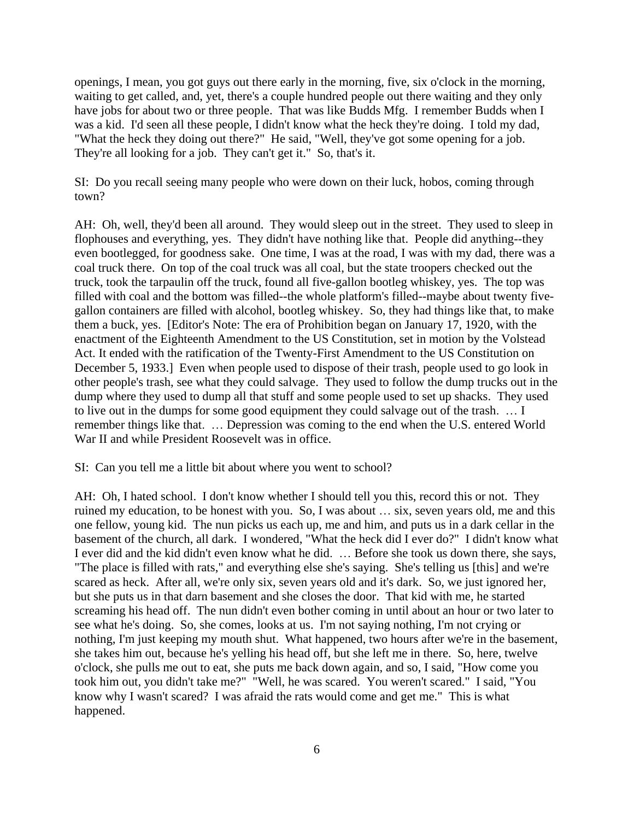openings, I mean, you got guys out there early in the morning, five, six o'clock in the morning, waiting to get called, and, yet, there's a couple hundred people out there waiting and they only have jobs for about two or three people. That was like Budds Mfg. I remember Budds when I was a kid. I'd seen all these people, I didn't know what the heck they're doing. I told my dad, "What the heck they doing out there?" He said, "Well, they've got some opening for a job. They're all looking for a job. They can't get it." So, that's it.

SI: Do you recall seeing many people who were down on their luck, hobos, coming through town?

AH: Oh, well, they'd been all around. They would sleep out in the street. They used to sleep in flophouses and everything, yes. They didn't have nothing like that. People did anything--they even bootlegged, for goodness sake. One time, I was at the road, I was with my dad, there was a coal truck there. On top of the coal truck was all coal, but the state troopers checked out the truck, took the tarpaulin off the truck, found all five-gallon bootleg whiskey, yes. The top was filled with coal and the bottom was filled--the whole platform's filled--maybe about twenty fivegallon containers are filled with alcohol, bootleg whiskey. So, they had things like that, to make them a buck, yes. [Editor's Note: The era of Prohibition began on January 17, 1920, with the enactment of the Eighteenth Amendment to the US Constitution, set in motion by the Volstead Act. It ended with the ratification of the Twenty-First Amendment to the US Constitution on December 5, 1933.] Even when people used to dispose of their trash, people used to go look in other people's trash, see what they could salvage. They used to follow the dump trucks out in the dump where they used to dump all that stuff and some people used to set up shacks. They used to live out in the dumps for some good equipment they could salvage out of the trash. … I remember things like that. … Depression was coming to the end when the U.S. entered World War II and while President Roosevelt was in office.

SI: Can you tell me a little bit about where you went to school?

AH: Oh, I hated school. I don't know whether I should tell you this, record this or not. They ruined my education, to be honest with you. So, I was about … six, seven years old, me and this one fellow, young kid. The nun picks us each up, me and him, and puts us in a dark cellar in the basement of the church, all dark. I wondered, "What the heck did I ever do?" I didn't know what I ever did and the kid didn't even know what he did. … Before she took us down there, she says, "The place is filled with rats," and everything else she's saying. She's telling us [this] and we're scared as heck. After all, we're only six, seven years old and it's dark. So, we just ignored her, but she puts us in that darn basement and she closes the door. That kid with me, he started screaming his head off. The nun didn't even bother coming in until about an hour or two later to see what he's doing. So, she comes, looks at us. I'm not saying nothing, I'm not crying or nothing, I'm just keeping my mouth shut. What happened, two hours after we're in the basement, she takes him out, because he's yelling his head off, but she left me in there. So, here, twelve o'clock, she pulls me out to eat, she puts me back down again, and so, I said, "How come you took him out, you didn't take me?" "Well, he was scared. You weren't scared." I said, "You know why I wasn't scared? I was afraid the rats would come and get me." This is what happened.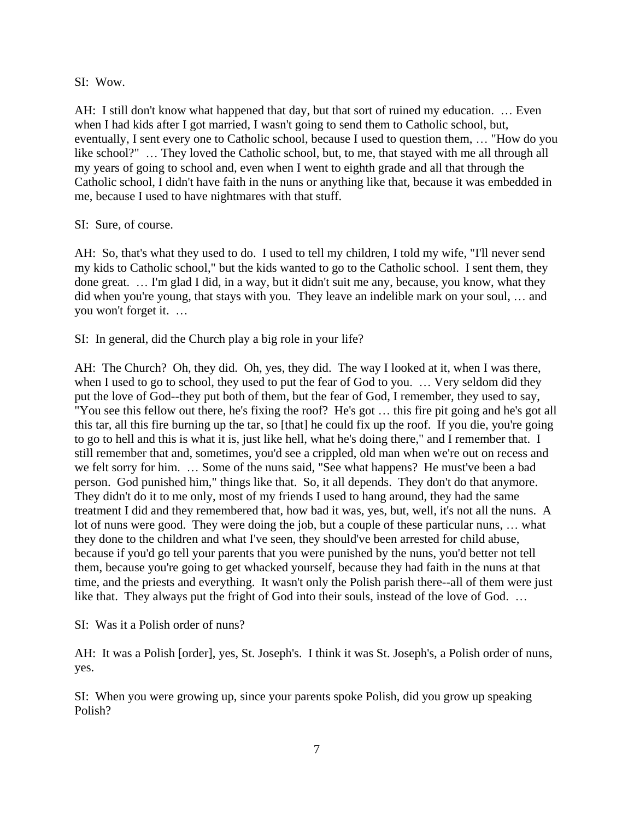SI: Wow.

AH: I still don't know what happened that day, but that sort of ruined my education. … Even when I had kids after I got married, I wasn't going to send them to Catholic school, but, eventually, I sent every one to Catholic school, because I used to question them, … "How do you like school?" … They loved the Catholic school, but, to me, that stayed with me all through all my years of going to school and, even when I went to eighth grade and all that through the Catholic school, I didn't have faith in the nuns or anything like that, because it was embedded in me, because I used to have nightmares with that stuff.

### SI: Sure, of course.

AH: So, that's what they used to do. I used to tell my children, I told my wife, "I'll never send my kids to Catholic school," but the kids wanted to go to the Catholic school. I sent them, they done great. … I'm glad I did, in a way, but it didn't suit me any, because, you know, what they did when you're young, that stays with you. They leave an indelible mark on your soul, ... and you won't forget it. …

SI: In general, did the Church play a big role in your life?

AH: The Church? Oh, they did. Oh, yes, they did. The way I looked at it, when I was there, when I used to go to school, they used to put the fear of God to you. … Very seldom did they put the love of God--they put both of them, but the fear of God, I remember, they used to say, "You see this fellow out there, he's fixing the roof? He's got … this fire pit going and he's got all this tar, all this fire burning up the tar, so [that] he could fix up the roof. If you die, you're going to go to hell and this is what it is, just like hell, what he's doing there," and I remember that. I still remember that and, sometimes, you'd see a crippled, old man when we're out on recess and we felt sorry for him. … Some of the nuns said, "See what happens? He must've been a bad person. God punished him," things like that. So, it all depends. They don't do that anymore. They didn't do it to me only, most of my friends I used to hang around, they had the same treatment I did and they remembered that, how bad it was, yes, but, well, it's not all the nuns. A lot of nuns were good. They were doing the job, but a couple of these particular nuns, … what they done to the children and what I've seen, they should've been arrested for child abuse, because if you'd go tell your parents that you were punished by the nuns, you'd better not tell them, because you're going to get whacked yourself, because they had faith in the nuns at that time, and the priests and everything. It wasn't only the Polish parish there--all of them were just like that. They always put the fright of God into their souls, instead of the love of God. …

SI: Was it a Polish order of nuns?

AH: It was a Polish [order], yes, St. Joseph's. I think it was St. Joseph's, a Polish order of nuns, yes.

SI: When you were growing up, since your parents spoke Polish, did you grow up speaking Polish?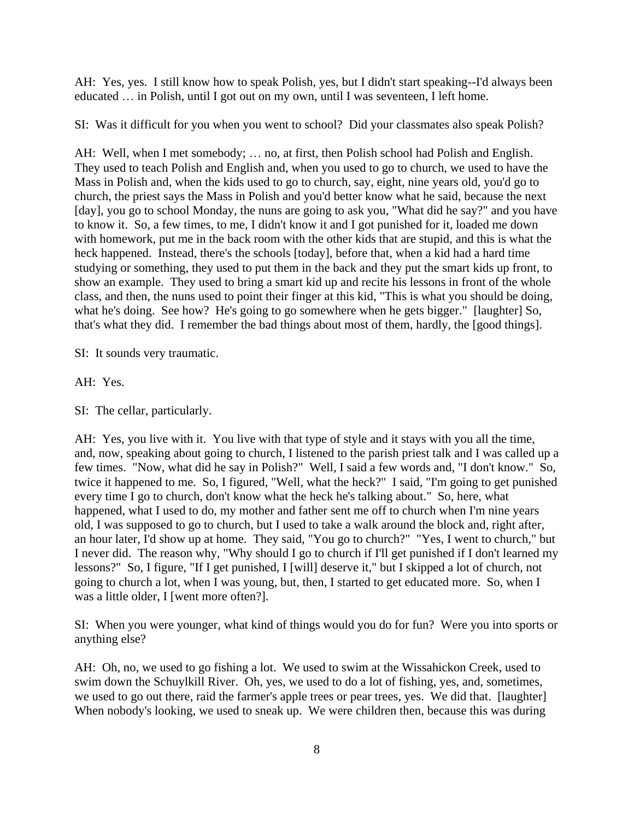AH: Yes, yes. I still know how to speak Polish, yes, but I didn't start speaking--I'd always been educated … in Polish, until I got out on my own, until I was seventeen, I left home.

SI: Was it difficult for you when you went to school? Did your classmates also speak Polish?

AH: Well, when I met somebody; … no, at first, then Polish school had Polish and English. They used to teach Polish and English and, when you used to go to church, we used to have the Mass in Polish and, when the kids used to go to church, say, eight, nine years old, you'd go to church, the priest says the Mass in Polish and you'd better know what he said, because the next [day], you go to school Monday, the nuns are going to ask you, "What did he say?" and you have to know it. So, a few times, to me, I didn't know it and I got punished for it, loaded me down with homework, put me in the back room with the other kids that are stupid, and this is what the heck happened. Instead, there's the schools [today], before that, when a kid had a hard time studying or something, they used to put them in the back and they put the smart kids up front, to show an example. They used to bring a smart kid up and recite his lessons in front of the whole class, and then, the nuns used to point their finger at this kid, "This is what you should be doing, what he's doing. See how? He's going to go somewhere when he gets bigger." [laughter] So, that's what they did. I remember the bad things about most of them, hardly, the [good things].

SI: It sounds very traumatic.

AH: Yes.

SI: The cellar, particularly.

AH: Yes, you live with it. You live with that type of style and it stays with you all the time, and, now, speaking about going to church, I listened to the parish priest talk and I was called up a few times. "Now, what did he say in Polish?" Well, I said a few words and, "I don't know." So, twice it happened to me. So, I figured, "Well, what the heck?" I said, "I'm going to get punished every time I go to church, don't know what the heck he's talking about." So, here, what happened, what I used to do, my mother and father sent me off to church when I'm nine years old, I was supposed to go to church, but I used to take a walk around the block and, right after, an hour later, I'd show up at home. They said, "You go to church?" "Yes, I went to church," but I never did. The reason why, "Why should I go to church if I'll get punished if I don't learned my lessons?" So, I figure, "If I get punished, I [will] deserve it," but I skipped a lot of church, not going to church a lot, when I was young, but, then, I started to get educated more. So, when I was a little older, I [went more often?].

SI: When you were younger, what kind of things would you do for fun? Were you into sports or anything else?

AH: Oh, no, we used to go fishing a lot. We used to swim at the Wissahickon Creek, used to swim down the Schuylkill River. Oh, yes, we used to do a lot of fishing, yes, and, sometimes, we used to go out there, raid the farmer's apple trees or pear trees, yes. We did that. [laughter] When nobody's looking, we used to sneak up. We were children then, because this was during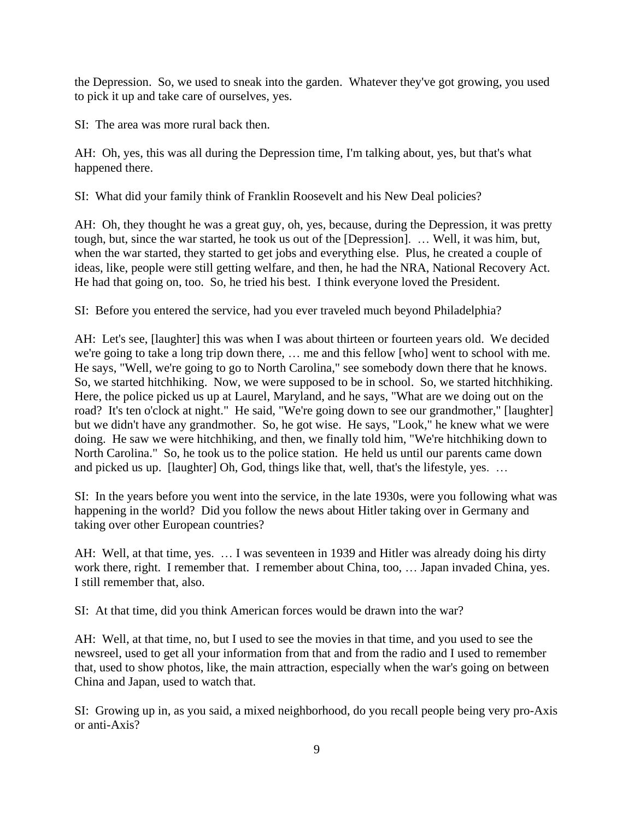the Depression. So, we used to sneak into the garden. Whatever they've got growing, you used to pick it up and take care of ourselves, yes.

SI: The area was more rural back then.

AH: Oh, yes, this was all during the Depression time, I'm talking about, yes, but that's what happened there.

SI: What did your family think of Franklin Roosevelt and his New Deal policies?

AH: Oh, they thought he was a great guy, oh, yes, because, during the Depression, it was pretty tough, but, since the war started, he took us out of the [Depression]. … Well, it was him, but, when the war started, they started to get jobs and everything else. Plus, he created a couple of ideas, like, people were still getting welfare, and then, he had the NRA, National Recovery Act. He had that going on, too. So, he tried his best. I think everyone loved the President.

SI: Before you entered the service, had you ever traveled much beyond Philadelphia?

AH: Let's see, [laughter] this was when I was about thirteen or fourteen years old. We decided we're going to take a long trip down there, … me and this fellow [who] went to school with me. He says, "Well, we're going to go to North Carolina," see somebody down there that he knows. So, we started hitchhiking. Now, we were supposed to be in school. So, we started hitchhiking. Here, the police picked us up at Laurel, Maryland, and he says, "What are we doing out on the road? It's ten o'clock at night." He said, "We're going down to see our grandmother," [laughter] but we didn't have any grandmother. So, he got wise. He says, "Look," he knew what we were doing. He saw we were hitchhiking, and then, we finally told him, "We're hitchhiking down to North Carolina." So, he took us to the police station. He held us until our parents came down and picked us up. [laughter] Oh, God, things like that, well, that's the lifestyle, yes. …

SI: In the years before you went into the service, in the late 1930s, were you following what was happening in the world? Did you follow the news about Hitler taking over in Germany and taking over other European countries?

AH: Well, at that time, yes. … I was seventeen in 1939 and Hitler was already doing his dirty work there, right. I remember that. I remember about China, too, … Japan invaded China, yes. I still remember that, also.

SI: At that time, did you think American forces would be drawn into the war?

AH: Well, at that time, no, but I used to see the movies in that time, and you used to see the newsreel, used to get all your information from that and from the radio and I used to remember that, used to show photos, like, the main attraction, especially when the war's going on between China and Japan, used to watch that.

SI: Growing up in, as you said, a mixed neighborhood, do you recall people being very pro-Axis or anti-Axis?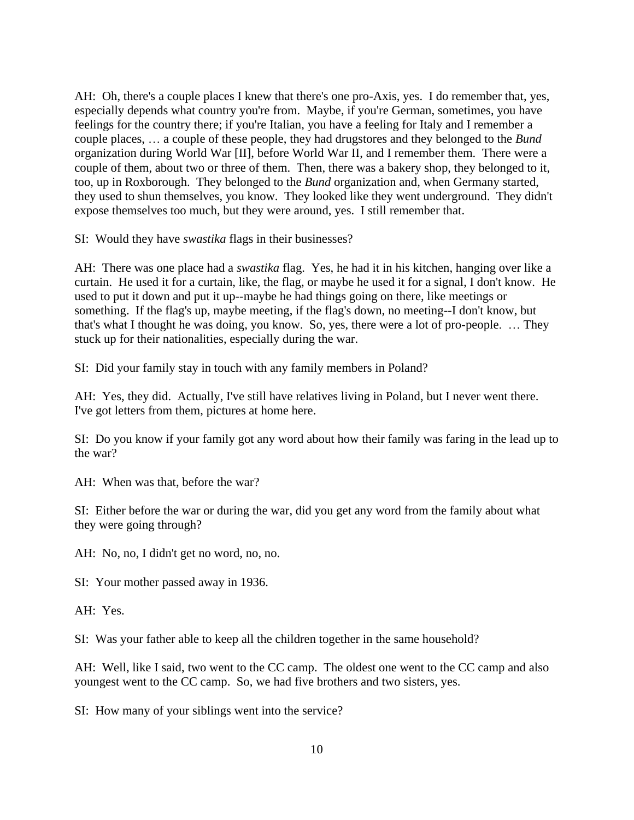AH: Oh, there's a couple places I knew that there's one pro-Axis, yes. I do remember that, yes, especially depends what country you're from. Maybe, if you're German, sometimes, you have feelings for the country there; if you're Italian, you have a feeling for Italy and I remember a couple places, … a couple of these people, they had drugstores and they belonged to the *Bund* organization during World War [II], before World War II, and I remember them. There were a couple of them, about two or three of them. Then, there was a bakery shop, they belonged to it, too, up in Roxborough. They belonged to the *Bund* organization and, when Germany started, they used to shun themselves, you know. They looked like they went underground. They didn't expose themselves too much, but they were around, yes. I still remember that.

SI: Would they have *swastika* flags in their businesses?

AH: There was one place had a *swastika* flag. Yes, he had it in his kitchen, hanging over like a curtain. He used it for a curtain, like, the flag, or maybe he used it for a signal, I don't know. He used to put it down and put it up--maybe he had things going on there, like meetings or something. If the flag's up, maybe meeting, if the flag's down, no meeting--I don't know, but that's what I thought he was doing, you know. So, yes, there were a lot of pro-people. … They stuck up for their nationalities, especially during the war.

SI: Did your family stay in touch with any family members in Poland?

AH: Yes, they did. Actually, I've still have relatives living in Poland, but I never went there. I've got letters from them, pictures at home here.

SI: Do you know if your family got any word about how their family was faring in the lead up to the war?

AH: When was that, before the war?

SI: Either before the war or during the war, did you get any word from the family about what they were going through?

AH: No, no, I didn't get no word, no, no.

SI: Your mother passed away in 1936.

AH: Yes.

SI: Was your father able to keep all the children together in the same household?

AH: Well, like I said, two went to the CC camp. The oldest one went to the CC camp and also youngest went to the CC camp. So, we had five brothers and two sisters, yes.

SI: How many of your siblings went into the service?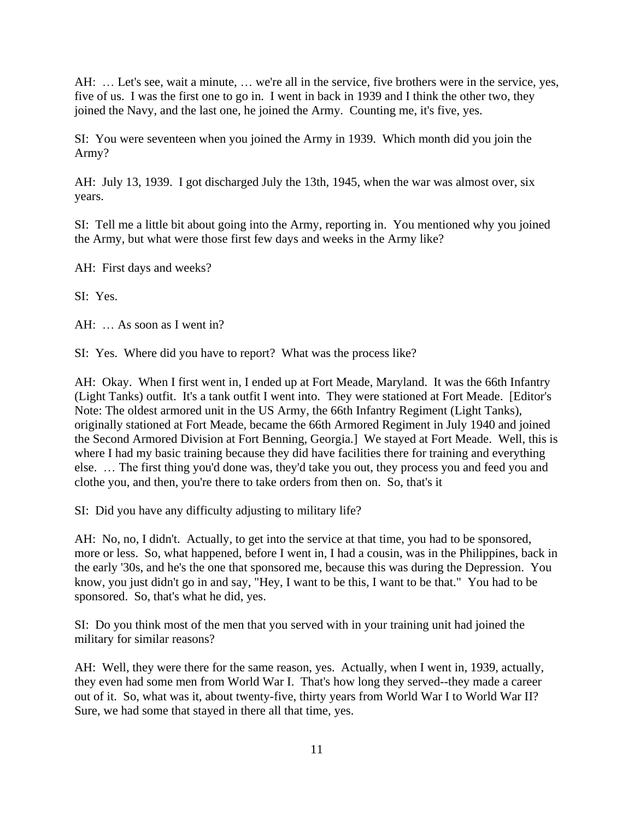AH: … Let's see, wait a minute, … we're all in the service, five brothers were in the service, yes, five of us. I was the first one to go in. I went in back in 1939 and I think the other two, they joined the Navy, and the last one, he joined the Army. Counting me, it's five, yes.

SI: You were seventeen when you joined the Army in 1939. Which month did you join the Army?

AH: July 13, 1939. I got discharged July the 13th, 1945, when the war was almost over, six years.

SI: Tell me a little bit about going into the Army, reporting in. You mentioned why you joined the Army, but what were those first few days and weeks in the Army like?

AH: First days and weeks?

SI: Yes.

AH: … As soon as I went in?

SI: Yes. Where did you have to report? What was the process like?

AH: Okay. When I first went in, I ended up at Fort Meade, Maryland. It was the 66th Infantry (Light Tanks) outfit. It's a tank outfit I went into. They were stationed at Fort Meade. [Editor's Note: The oldest armored unit in the US Army, the 66th Infantry Regiment (Light Tanks), originally stationed at Fort Meade, became the 66th Armored Regiment in July 1940 and joined the Second Armored Division at Fort Benning, Georgia.] We stayed at Fort Meade. Well, this is where I had my basic training because they did have facilities there for training and everything else. … The first thing you'd done was, they'd take you out, they process you and feed you and clothe you, and then, you're there to take orders from then on. So, that's it

SI: Did you have any difficulty adjusting to military life?

AH: No, no, I didn't. Actually, to get into the service at that time, you had to be sponsored, more or less. So, what happened, before I went in, I had a cousin, was in the Philippines, back in the early '30s, and he's the one that sponsored me, because this was during the Depression. You know, you just didn't go in and say, "Hey, I want to be this, I want to be that." You had to be sponsored. So, that's what he did, yes.

SI: Do you think most of the men that you served with in your training unit had joined the military for similar reasons?

AH: Well, they were there for the same reason, yes. Actually, when I went in, 1939, actually, they even had some men from World War I. That's how long they served--they made a career out of it. So, what was it, about twenty-five, thirty years from World War I to World War II? Sure, we had some that stayed in there all that time, yes.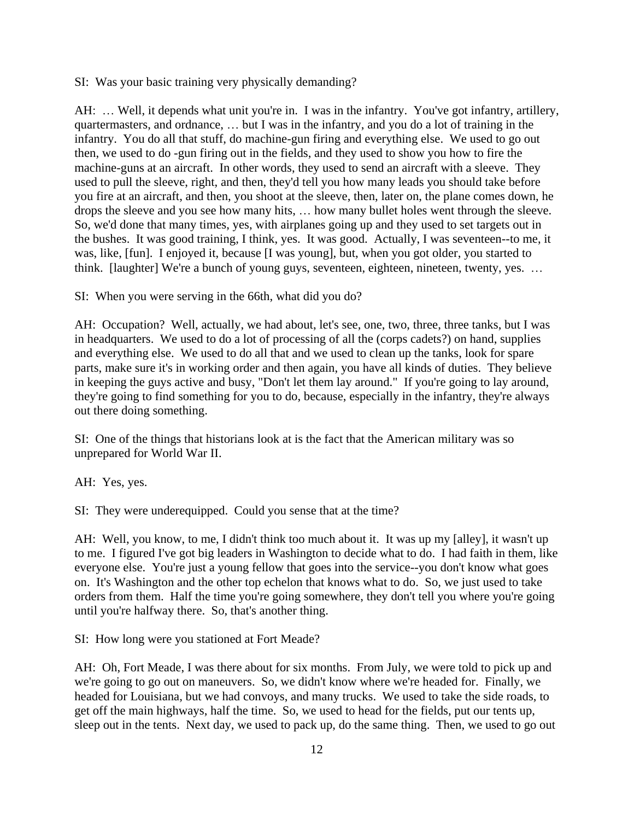SI: Was your basic training very physically demanding?

AH: ... Well, it depends what unit you're in. I was in the infantry. You've got infantry, artillery, quartermasters, and ordnance, … but I was in the infantry, and you do a lot of training in the infantry. You do all that stuff, do machine-gun firing and everything else. We used to go out then, we used to do -gun firing out in the fields, and they used to show you how to fire the machine-guns at an aircraft. In other words, they used to send an aircraft with a sleeve. They used to pull the sleeve, right, and then, they'd tell you how many leads you should take before you fire at an aircraft, and then, you shoot at the sleeve, then, later on, the plane comes down, he drops the sleeve and you see how many hits, … how many bullet holes went through the sleeve. So, we'd done that many times, yes, with airplanes going up and they used to set targets out in the bushes. It was good training, I think, yes. It was good. Actually, I was seventeen--to me, it was, like, [fun]. I enjoyed it, because [I was young], but, when you got older, you started to think. [laughter] We're a bunch of young guys, seventeen, eighteen, nineteen, twenty, yes. ...

SI: When you were serving in the 66th, what did you do?

AH: Occupation? Well, actually, we had about, let's see, one, two, three, three tanks, but I was in headquarters. We used to do a lot of processing of all the (corps cadets?) on hand, supplies and everything else. We used to do all that and we used to clean up the tanks, look for spare parts, make sure it's in working order and then again, you have all kinds of duties. They believe in keeping the guys active and busy, "Don't let them lay around." If you're going to lay around, they're going to find something for you to do, because, especially in the infantry, they're always out there doing something.

SI: One of the things that historians look at is the fact that the American military was so unprepared for World War II.

AH: Yes, yes.

SI: They were underequipped. Could you sense that at the time?

AH: Well, you know, to me, I didn't think too much about it. It was up my [alley], it wasn't up to me. I figured I've got big leaders in Washington to decide what to do. I had faith in them, like everyone else. You're just a young fellow that goes into the service--you don't know what goes on. It's Washington and the other top echelon that knows what to do. So, we just used to take orders from them. Half the time you're going somewhere, they don't tell you where you're going until you're halfway there. So, that's another thing.

SI: How long were you stationed at Fort Meade?

AH: Oh, Fort Meade, I was there about for six months. From July, we were told to pick up and we're going to go out on maneuvers. So, we didn't know where we're headed for. Finally, we headed for Louisiana, but we had convoys, and many trucks. We used to take the side roads, to get off the main highways, half the time. So, we used to head for the fields, put our tents up, sleep out in the tents. Next day, we used to pack up, do the same thing. Then, we used to go out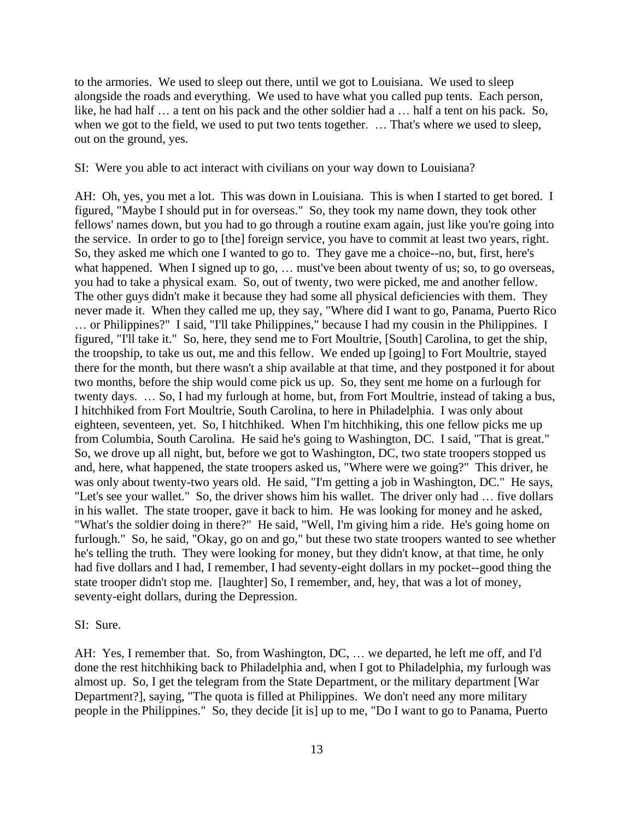to the armories. We used to sleep out there, until we got to Louisiana. We used to sleep alongside the roads and everything. We used to have what you called pup tents. Each person, like, he had half … a tent on his pack and the other soldier had a … half a tent on his pack. So, when we got to the field, we used to put two tents together. … That's where we used to sleep, out on the ground, yes.

SI: Were you able to act interact with civilians on your way down to Louisiana?

AH: Oh, yes, you met a lot. This was down in Louisiana. This is when I started to get bored. I figured, "Maybe I should put in for overseas." So, they took my name down, they took other fellows' names down, but you had to go through a routine exam again, just like you're going into the service. In order to go to [the] foreign service, you have to commit at least two years, right. So, they asked me which one I wanted to go to. They gave me a choice--no, but, first, here's what happened. When I signed up to go, ... must've been about twenty of us; so, to go overseas, you had to take a physical exam. So, out of twenty, two were picked, me and another fellow. The other guys didn't make it because they had some all physical deficiencies with them. They never made it. When they called me up, they say, "Where did I want to go, Panama, Puerto Rico … or Philippines?" I said, "I'll take Philippines," because I had my cousin in the Philippines. I figured, "I'll take it." So, here, they send me to Fort Moultrie, [South] Carolina, to get the ship, the troopship, to take us out, me and this fellow. We ended up [going] to Fort Moultrie, stayed there for the month, but there wasn't a ship available at that time, and they postponed it for about two months, before the ship would come pick us up. So, they sent me home on a furlough for twenty days. … So, I had my furlough at home, but, from Fort Moultrie, instead of taking a bus, I hitchhiked from Fort Moultrie, South Carolina, to here in Philadelphia. I was only about eighteen, seventeen, yet. So, I hitchhiked. When I'm hitchhiking, this one fellow picks me up from Columbia, South Carolina. He said he's going to Washington, DC. I said, "That is great." So, we drove up all night, but, before we got to Washington, DC, two state troopers stopped us and, here, what happened, the state troopers asked us, "Where were we going?" This driver, he was only about twenty-two years old. He said, "I'm getting a job in Washington, DC." He says, "Let's see your wallet." So, the driver shows him his wallet. The driver only had … five dollars in his wallet. The state trooper, gave it back to him. He was looking for money and he asked, "What's the soldier doing in there?" He said, "Well, I'm giving him a ride. He's going home on furlough." So, he said, "Okay, go on and go," but these two state troopers wanted to see whether he's telling the truth. They were looking for money, but they didn't know, at that time, he only had five dollars and I had, I remember, I had seventy-eight dollars in my pocket--good thing the state trooper didn't stop me. [laughter] So, I remember, and, hey, that was a lot of money, seventy-eight dollars, during the Depression.

SI: Sure.

AH: Yes, I remember that. So, from Washington, DC, … we departed, he left me off, and I'd done the rest hitchhiking back to Philadelphia and, when I got to Philadelphia, my furlough was almost up. So, I get the telegram from the State Department, or the military department [War Department?], saying, "The quota is filled at Philippines. We don't need any more military people in the Philippines." So, they decide [it is] up to me, "Do I want to go to Panama, Puerto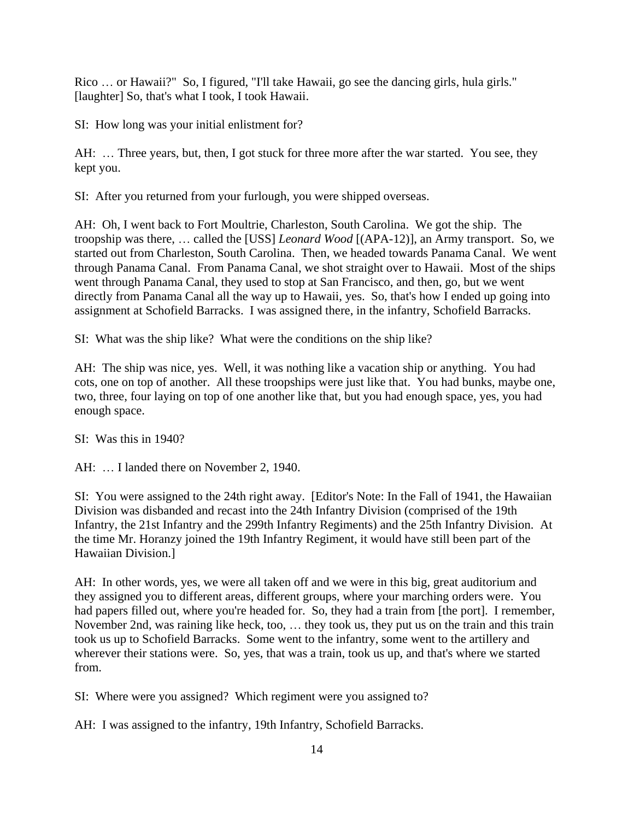Rico … or Hawaii?" So, I figured, "I'll take Hawaii, go see the dancing girls, hula girls." [laughter] So, that's what I took, I took Hawaii.

SI: How long was your initial enlistment for?

AH: ... Three years, but, then, I got stuck for three more after the war started. You see, they kept you.

SI: After you returned from your furlough, you were shipped overseas.

AH: Oh, I went back to Fort Moultrie, Charleston, South Carolina. We got the ship. The troopship was there, … called the [USS] *Leonard Wood* [(APA-12)], an Army transport. So, we started out from Charleston, South Carolina. Then, we headed towards Panama Canal. We went through Panama Canal. From Panama Canal, we shot straight over to Hawaii. Most of the ships went through Panama Canal, they used to stop at San Francisco, and then, go, but we went directly from Panama Canal all the way up to Hawaii, yes. So, that's how I ended up going into assignment at Schofield Barracks. I was assigned there, in the infantry, Schofield Barracks.

SI: What was the ship like? What were the conditions on the ship like?

AH: The ship was nice, yes. Well, it was nothing like a vacation ship or anything. You had cots, one on top of another. All these troopships were just like that. You had bunks, maybe one, two, three, four laying on top of one another like that, but you had enough space, yes, you had enough space.

SI: Was this in 1940?

AH: ... I landed there on November 2, 1940.

SI: You were assigned to the 24th right away. [Editor's Note: In the Fall of 1941, the Hawaiian Division was disbanded and recast into the 24th Infantry Division (comprised of the 19th Infantry, the 21st Infantry and the 299th Infantry Regiments) and the 25th Infantry Division. At the time Mr. Horanzy joined the 19th Infantry Regiment, it would have still been part of the Hawaiian Division.]

AH: In other words, yes, we were all taken off and we were in this big, great auditorium and they assigned you to different areas, different groups, where your marching orders were. You had papers filled out, where you're headed for. So, they had a train from [the port]. I remember, November 2nd, was raining like heck, too, … they took us, they put us on the train and this train took us up to Schofield Barracks. Some went to the infantry, some went to the artillery and wherever their stations were. So, yes, that was a train, took us up, and that's where we started from.

SI: Where were you assigned? Which regiment were you assigned to?

AH: I was assigned to the infantry, 19th Infantry, Schofield Barracks.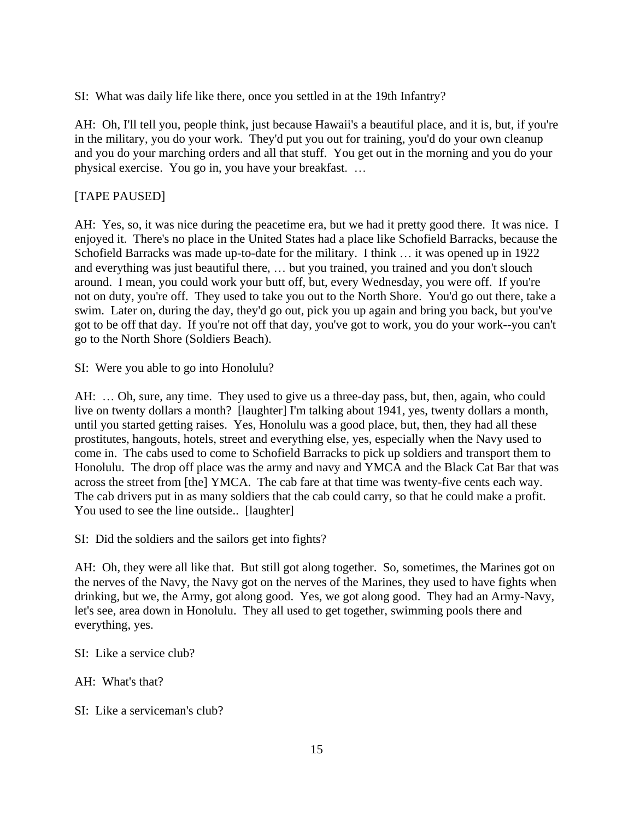SI: What was daily life like there, once you settled in at the 19th Infantry?

AH: Oh, I'll tell you, people think, just because Hawaii's a beautiful place, and it is, but, if you're in the military, you do your work. They'd put you out for training, you'd do your own cleanup and you do your marching orders and all that stuff. You get out in the morning and you do your physical exercise. You go in, you have your breakfast. …

# [TAPE PAUSED]

AH: Yes, so, it was nice during the peacetime era, but we had it pretty good there. It was nice. I enjoyed it. There's no place in the United States had a place like Schofield Barracks, because the Schofield Barracks was made up-to-date for the military. I think … it was opened up in 1922 and everything was just beautiful there, … but you trained, you trained and you don't slouch around. I mean, you could work your butt off, but, every Wednesday, you were off. If you're not on duty, you're off. They used to take you out to the North Shore. You'd go out there, take a swim. Later on, during the day, they'd go out, pick you up again and bring you back, but you've got to be off that day. If you're not off that day, you've got to work, you do your work--you can't go to the North Shore (Soldiers Beach).

SI: Were you able to go into Honolulu?

AH: ... Oh, sure, any time. They used to give us a three-day pass, but, then, again, who could live on twenty dollars a month? [laughter] I'm talking about 1941, yes, twenty dollars a month, until you started getting raises. Yes, Honolulu was a good place, but, then, they had all these prostitutes, hangouts, hotels, street and everything else, yes, especially when the Navy used to come in. The cabs used to come to Schofield Barracks to pick up soldiers and transport them to Honolulu. The drop off place was the army and navy and YMCA and the Black Cat Bar that was across the street from [the] YMCA. The cab fare at that time was twenty-five cents each way. The cab drivers put in as many soldiers that the cab could carry, so that he could make a profit. You used to see the line outside.. [laughter]

SI: Did the soldiers and the sailors get into fights?

AH: Oh, they were all like that. But still got along together. So, sometimes, the Marines got on the nerves of the Navy, the Navy got on the nerves of the Marines, they used to have fights when drinking, but we, the Army, got along good. Yes, we got along good. They had an Army-Navy, let's see, area down in Honolulu. They all used to get together, swimming pools there and everything, yes.

SI: Like a service club?

AH: What's that?

SI: Like a serviceman's club?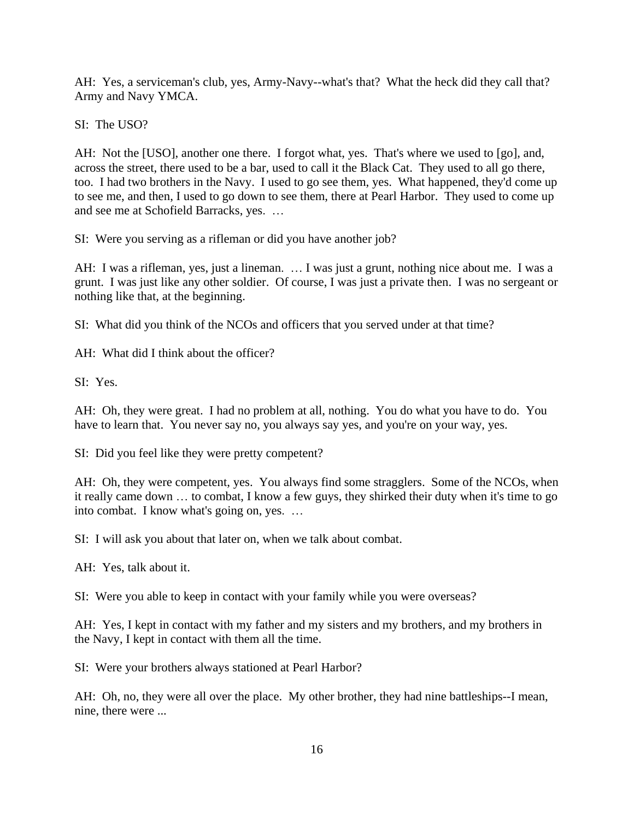AH: Yes, a serviceman's club, yes, Army-Navy--what's that? What the heck did they call that? Army and Navy YMCA.

SI: The USO?

AH: Not the [USO], another one there. I forgot what, yes. That's where we used to [go], and, across the street, there used to be a bar, used to call it the Black Cat. They used to all go there, too. I had two brothers in the Navy. I used to go see them, yes. What happened, they'd come up to see me, and then, I used to go down to see them, there at Pearl Harbor. They used to come up and see me at Schofield Barracks, yes. …

SI: Were you serving as a rifleman or did you have another job?

AH: I was a rifleman, yes, just a lineman. … I was just a grunt, nothing nice about me. I was a grunt. I was just like any other soldier. Of course, I was just a private then. I was no sergeant or nothing like that, at the beginning.

SI: What did you think of the NCOs and officers that you served under at that time?

AH: What did I think about the officer?

SI: Yes.

AH: Oh, they were great. I had no problem at all, nothing. You do what you have to do. You have to learn that. You never say no, you always say yes, and you're on your way, yes.

SI: Did you feel like they were pretty competent?

AH: Oh, they were competent, yes. You always find some stragglers. Some of the NCOs, when it really came down … to combat, I know a few guys, they shirked their duty when it's time to go into combat. I know what's going on, yes. …

SI: I will ask you about that later on, when we talk about combat.

AH: Yes, talk about it.

SI: Were you able to keep in contact with your family while you were overseas?

AH: Yes, I kept in contact with my father and my sisters and my brothers, and my brothers in the Navy, I kept in contact with them all the time.

SI: Were your brothers always stationed at Pearl Harbor?

AH: Oh, no, they were all over the place. My other brother, they had nine battleships--I mean, nine, there were ...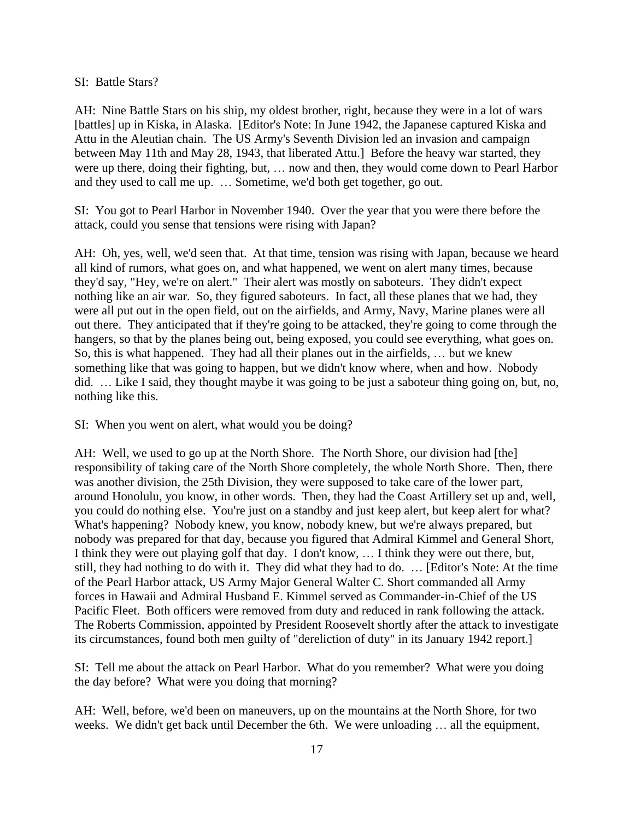#### SI: Battle Stars?

AH: Nine Battle Stars on his ship, my oldest brother, right, because they were in a lot of wars [battles] up in Kiska, in Alaska. [Editor's Note: In June 1942, the Japanese captured Kiska and Attu in the Aleutian chain. The US Army's Seventh Division led an invasion and campaign between May 11th and May 28, 1943, that liberated Attu.] Before the heavy war started, they were up there, doing their fighting, but, … now and then, they would come down to Pearl Harbor and they used to call me up. … Sometime, we'd both get together, go out.

SI: You got to Pearl Harbor in November 1940. Over the year that you were there before the attack, could you sense that tensions were rising with Japan?

AH: Oh, yes, well, we'd seen that. At that time, tension was rising with Japan, because we heard all kind of rumors, what goes on, and what happened, we went on alert many times, because they'd say, "Hey, we're on alert." Their alert was mostly on saboteurs. They didn't expect nothing like an air war. So, they figured saboteurs. In fact, all these planes that we had, they were all put out in the open field, out on the airfields, and Army, Navy, Marine planes were all out there. They anticipated that if they're going to be attacked, they're going to come through the hangers, so that by the planes being out, being exposed, you could see everything, what goes on. So, this is what happened. They had all their planes out in the airfields, … but we knew something like that was going to happen, but we didn't know where, when and how. Nobody did. … Like I said, they thought maybe it was going to be just a saboteur thing going on, but, no, nothing like this.

SI: When you went on alert, what would you be doing?

AH: Well, we used to go up at the North Shore. The North Shore, our division had [the] responsibility of taking care of the North Shore completely, the whole North Shore. Then, there was another division, the 25th Division, they were supposed to take care of the lower part, around Honolulu, you know, in other words. Then, they had the Coast Artillery set up and, well, you could do nothing else. You're just on a standby and just keep alert, but keep alert for what? What's happening? Nobody knew, you know, nobody knew, but we're always prepared, but nobody was prepared for that day, because you figured that Admiral Kimmel and General Short, I think they were out playing golf that day. I don't know, … I think they were out there, but, still, they had nothing to do with it. They did what they had to do. … [Editor's Note: At the time of the Pearl Harbor attack, US Army Major General Walter C. Short commanded all Army forces in Hawaii and Admiral Husband E. Kimmel served as Commander-in-Chief of the US Pacific Fleet. Both officers were removed from duty and reduced in rank following the attack. The Roberts Commission, appointed by President Roosevelt shortly after the attack to investigate its circumstances, found both men guilty of "dereliction of duty" in its January 1942 report.]

SI: Tell me about the attack on Pearl Harbor. What do you remember? What were you doing the day before? What were you doing that morning?

AH: Well, before, we'd been on maneuvers, up on the mountains at the North Shore, for two weeks. We didn't get back until December the 6th. We were unloading … all the equipment,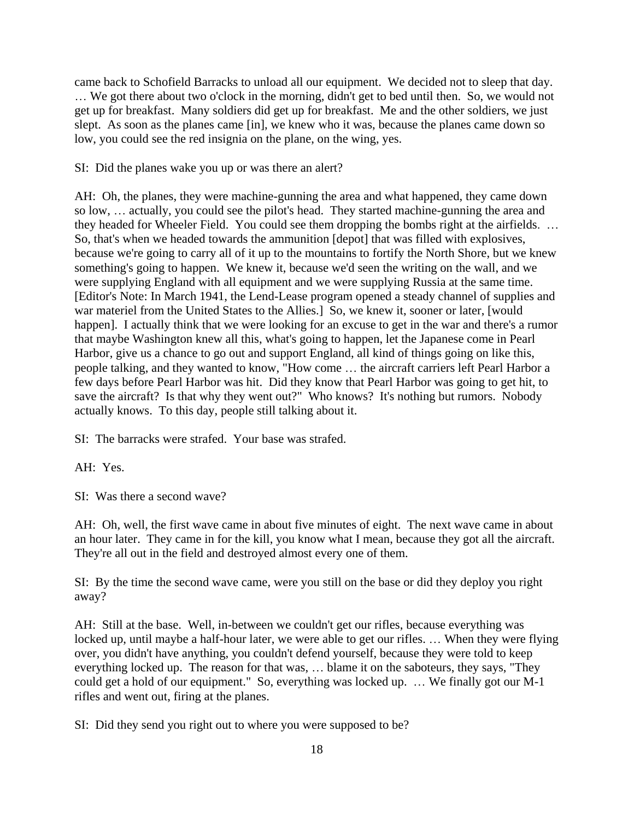came back to Schofield Barracks to unload all our equipment. We decided not to sleep that day. … We got there about two o'clock in the morning, didn't get to bed until then. So, we would not get up for breakfast. Many soldiers did get up for breakfast. Me and the other soldiers, we just slept. As soon as the planes came [in], we knew who it was, because the planes came down so low, you could see the red insignia on the plane, on the wing, yes.

SI: Did the planes wake you up or was there an alert?

AH: Oh, the planes, they were machine-gunning the area and what happened, they came down so low, … actually, you could see the pilot's head. They started machine-gunning the area and they headed for Wheeler Field. You could see them dropping the bombs right at the airfields. … So, that's when we headed towards the ammunition [depot] that was filled with explosives, because we're going to carry all of it up to the mountains to fortify the North Shore, but we knew something's going to happen. We knew it, because we'd seen the writing on the wall, and we were supplying England with all equipment and we were supplying Russia at the same time. [Editor's Note: In March 1941, the Lend-Lease program opened a steady channel of supplies and war materiel from the United States to the Allies.] So, we knew it, sooner or later, [would happen]. I actually think that we were looking for an excuse to get in the war and there's a rumor that maybe Washington knew all this, what's going to happen, let the Japanese come in Pearl Harbor, give us a chance to go out and support England, all kind of things going on like this, people talking, and they wanted to know, "How come … the aircraft carriers left Pearl Harbor a few days before Pearl Harbor was hit. Did they know that Pearl Harbor was going to get hit, to save the aircraft? Is that why they went out?" Who knows? It's nothing but rumors. Nobody actually knows. To this day, people still talking about it.

SI: The barracks were strafed. Your base was strafed.

AH: Yes.

SI: Was there a second wave?

AH: Oh, well, the first wave came in about five minutes of eight. The next wave came in about an hour later. They came in for the kill, you know what I mean, because they got all the aircraft. They're all out in the field and destroyed almost every one of them.

SI: By the time the second wave came, were you still on the base or did they deploy you right away?

AH: Still at the base. Well, in-between we couldn't get our rifles, because everything was locked up, until maybe a half-hour later, we were able to get our rifles. … When they were flying over, you didn't have anything, you couldn't defend yourself, because they were told to keep everything locked up. The reason for that was, … blame it on the saboteurs, they says, "They could get a hold of our equipment." So, everything was locked up. … We finally got our M-1 rifles and went out, firing at the planes.

SI: Did they send you right out to where you were supposed to be?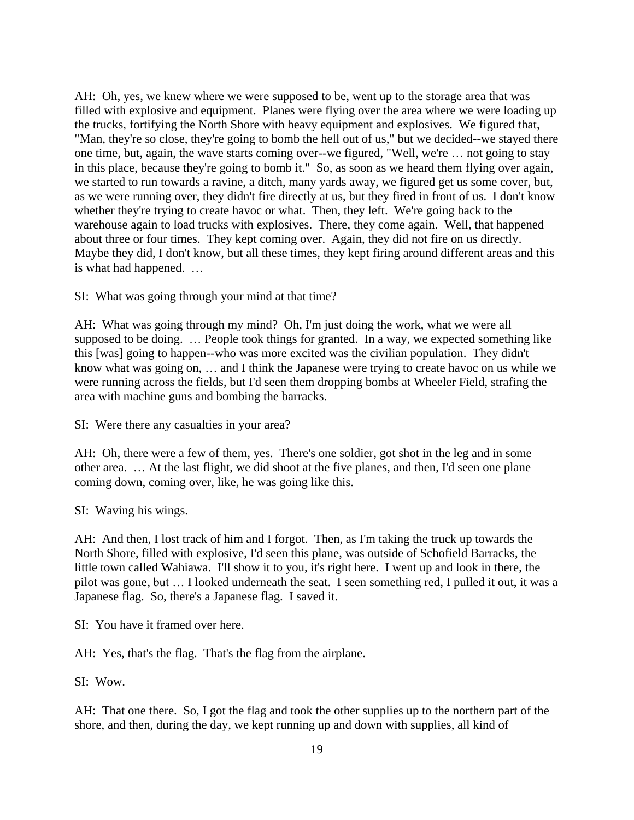AH: Oh, yes, we knew where we were supposed to be, went up to the storage area that was filled with explosive and equipment. Planes were flying over the area where we were loading up the trucks, fortifying the North Shore with heavy equipment and explosives. We figured that, "Man, they're so close, they're going to bomb the hell out of us," but we decided--we stayed there one time, but, again, the wave starts coming over--we figured, "Well, we're … not going to stay in this place, because they're going to bomb it." So, as soon as we heard them flying over again, we started to run towards a ravine, a ditch, many yards away, we figured get us some cover, but, as we were running over, they didn't fire directly at us, but they fired in front of us. I don't know whether they're trying to create havoc or what. Then, they left. We're going back to the warehouse again to load trucks with explosives. There, they come again. Well, that happened about three or four times. They kept coming over. Again, they did not fire on us directly. Maybe they did, I don't know, but all these times, they kept firing around different areas and this is what had happened. …

SI: What was going through your mind at that time?

AH: What was going through my mind? Oh, I'm just doing the work, what we were all supposed to be doing. … People took things for granted. In a way, we expected something like this [was] going to happen--who was more excited was the civilian population. They didn't know what was going on, … and I think the Japanese were trying to create havoc on us while we were running across the fields, but I'd seen them dropping bombs at Wheeler Field, strafing the area with machine guns and bombing the barracks.

SI: Were there any casualties in your area?

AH: Oh, there were a few of them, yes. There's one soldier, got shot in the leg and in some other area. … At the last flight, we did shoot at the five planes, and then, I'd seen one plane coming down, coming over, like, he was going like this.

SI: Waving his wings.

AH: And then, I lost track of him and I forgot. Then, as I'm taking the truck up towards the North Shore, filled with explosive, I'd seen this plane, was outside of Schofield Barracks, the little town called Wahiawa. I'll show it to you, it's right here. I went up and look in there, the pilot was gone, but … I looked underneath the seat. I seen something red, I pulled it out, it was a Japanese flag. So, there's a Japanese flag. I saved it.

SI: You have it framed over here.

AH: Yes, that's the flag. That's the flag from the airplane.

SI: Wow.

AH: That one there. So, I got the flag and took the other supplies up to the northern part of the shore, and then, during the day, we kept running up and down with supplies, all kind of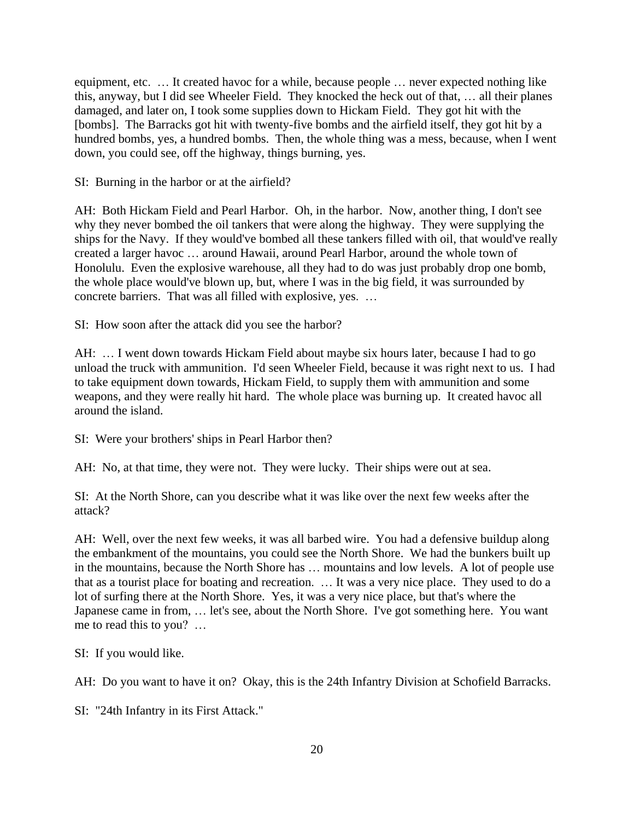equipment, etc. … It created havoc for a while, because people … never expected nothing like this, anyway, but I did see Wheeler Field. They knocked the heck out of that, … all their planes damaged, and later on, I took some supplies down to Hickam Field. They got hit with the [bombs]. The Barracks got hit with twenty-five bombs and the airfield itself, they got hit by a hundred bombs, yes, a hundred bombs. Then, the whole thing was a mess, because, when I went down, you could see, off the highway, things burning, yes.

SI: Burning in the harbor or at the airfield?

AH: Both Hickam Field and Pearl Harbor. Oh, in the harbor. Now, another thing, I don't see why they never bombed the oil tankers that were along the highway. They were supplying the ships for the Navy. If they would've bombed all these tankers filled with oil, that would've really created a larger havoc … around Hawaii, around Pearl Harbor, around the whole town of Honolulu. Even the explosive warehouse, all they had to do was just probably drop one bomb, the whole place would've blown up, but, where I was in the big field, it was surrounded by concrete barriers. That was all filled with explosive, yes. …

SI: How soon after the attack did you see the harbor?

AH: … I went down towards Hickam Field about maybe six hours later, because I had to go unload the truck with ammunition. I'd seen Wheeler Field, because it was right next to us. I had to take equipment down towards, Hickam Field, to supply them with ammunition and some weapons, and they were really hit hard. The whole place was burning up. It created havoc all around the island.

SI: Were your brothers' ships in Pearl Harbor then?

AH: No, at that time, they were not. They were lucky. Their ships were out at sea.

SI: At the North Shore, can you describe what it was like over the next few weeks after the attack?

AH: Well, over the next few weeks, it was all barbed wire. You had a defensive buildup along the embankment of the mountains, you could see the North Shore. We had the bunkers built up in the mountains, because the North Shore has … mountains and low levels. A lot of people use that as a tourist place for boating and recreation. … It was a very nice place. They used to do a lot of surfing there at the North Shore. Yes, it was a very nice place, but that's where the Japanese came in from, … let's see, about the North Shore. I've got something here. You want me to read this to you? …

SI: If you would like.

AH: Do you want to have it on? Okay, this is the 24th Infantry Division at Schofield Barracks.

SI: "24th Infantry in its First Attack."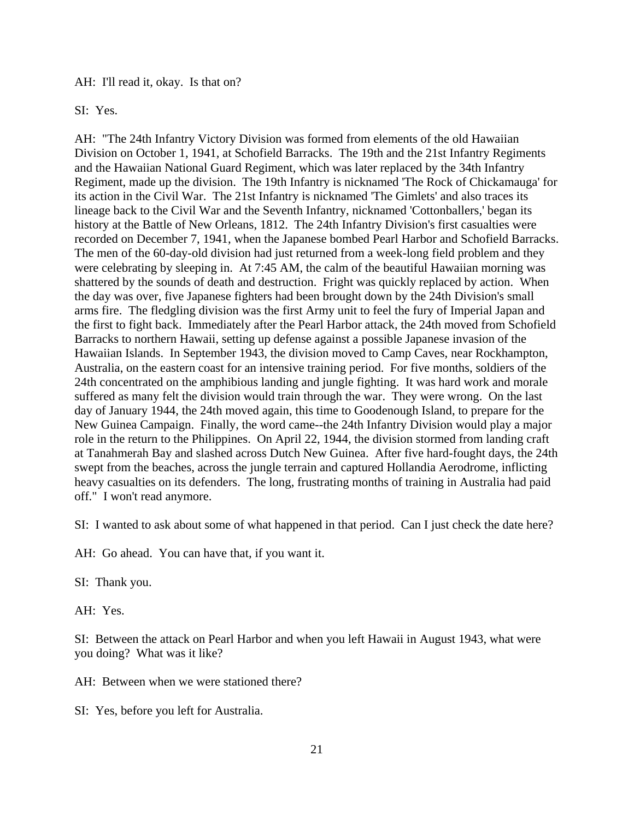AH: I'll read it, okay. Is that on?

SI: Yes.

AH: "The 24th Infantry Victory Division was formed from elements of the old Hawaiian Division on October 1, 1941, at Schofield Barracks. The 19th and the 21st Infantry Regiments and the Hawaiian National Guard Regiment, which was later replaced by the 34th Infantry Regiment, made up the division. The 19th Infantry is nicknamed 'The Rock of Chickamauga' for its action in the Civil War. The 21st Infantry is nicknamed 'The Gimlets' and also traces its lineage back to the Civil War and the Seventh Infantry, nicknamed 'Cottonballers,' began its history at the Battle of New Orleans, 1812. The 24th Infantry Division's first casualties were recorded on December 7, 1941, when the Japanese bombed Pearl Harbor and Schofield Barracks. The men of the 60-day-old division had just returned from a week-long field problem and they were celebrating by sleeping in. At 7:45 AM, the calm of the beautiful Hawaiian morning was shattered by the sounds of death and destruction. Fright was quickly replaced by action. When the day was over, five Japanese fighters had been brought down by the 24th Division's small arms fire. The fledgling division was the first Army unit to feel the fury of Imperial Japan and the first to fight back. Immediately after the Pearl Harbor attack, the 24th moved from Schofield Barracks to northern Hawaii, setting up defense against a possible Japanese invasion of the Hawaiian Islands. In September 1943, the division moved to Camp Caves, near Rockhampton, Australia, on the eastern coast for an intensive training period. For five months, soldiers of the 24th concentrated on the amphibious landing and jungle fighting. It was hard work and morale suffered as many felt the division would train through the war. They were wrong. On the last day of January 1944, the 24th moved again, this time to Goodenough Island, to prepare for the New Guinea Campaign. Finally, the word came--the 24th Infantry Division would play a major role in the return to the Philippines. On April 22, 1944, the division stormed from landing craft at Tanahmerah Bay and slashed across Dutch New Guinea. After five hard-fought days, the 24th swept from the beaches, across the jungle terrain and captured Hollandia Aerodrome, inflicting heavy casualties on its defenders. The long, frustrating months of training in Australia had paid off." I won't read anymore.

SI: I wanted to ask about some of what happened in that period. Can I just check the date here?

AH: Go ahead. You can have that, if you want it.

SI: Thank you.

AH: Yes.

SI: Between the attack on Pearl Harbor and when you left Hawaii in August 1943, what were you doing? What was it like?

AH: Between when we were stationed there?

SI: Yes, before you left for Australia.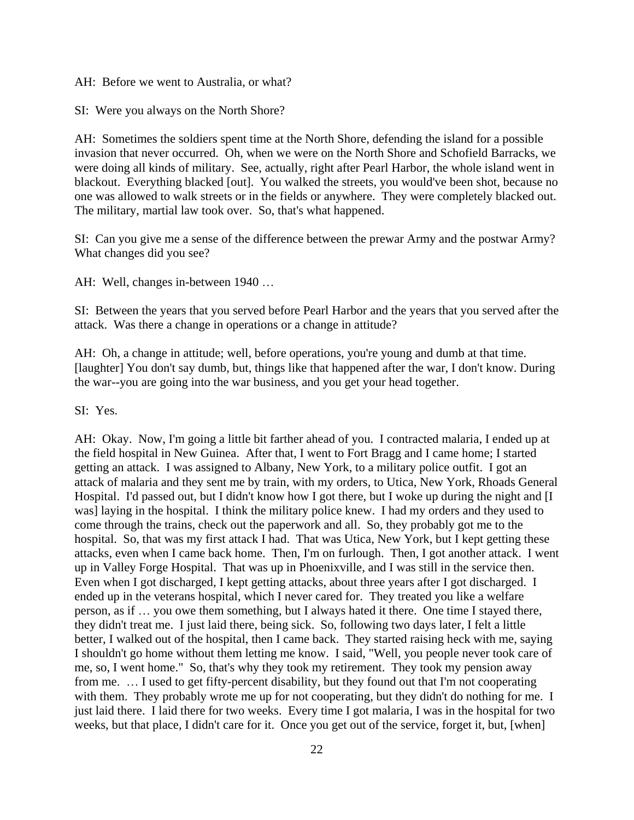AH: Before we went to Australia, or what?

SI: Were you always on the North Shore?

AH: Sometimes the soldiers spent time at the North Shore, defending the island for a possible invasion that never occurred. Oh, when we were on the North Shore and Schofield Barracks, we were doing all kinds of military. See, actually, right after Pearl Harbor, the whole island went in blackout. Everything blacked [out]. You walked the streets, you would've been shot, because no one was allowed to walk streets or in the fields or anywhere. They were completely blacked out. The military, martial law took over. So, that's what happened.

SI: Can you give me a sense of the difference between the prewar Army and the postwar Army? What changes did you see?

AH: Well, changes in-between 1940 …

SI: Between the years that you served before Pearl Harbor and the years that you served after the attack. Was there a change in operations or a change in attitude?

AH: Oh, a change in attitude; well, before operations, you're young and dumb at that time. [laughter] You don't say dumb, but, things like that happened after the war, I don't know. During the war--you are going into the war business, and you get your head together.

SI: Yes.

AH: Okay. Now, I'm going a little bit farther ahead of you. I contracted malaria, I ended up at the field hospital in New Guinea. After that, I went to Fort Bragg and I came home; I started getting an attack. I was assigned to Albany, New York, to a military police outfit. I got an attack of malaria and they sent me by train, with my orders, to Utica, New York, Rhoads General Hospital. I'd passed out, but I didn't know how I got there, but I woke up during the night and [I was] laying in the hospital. I think the military police knew. I had my orders and they used to come through the trains, check out the paperwork and all. So, they probably got me to the hospital. So, that was my first attack I had. That was Utica, New York, but I kept getting these attacks, even when I came back home. Then, I'm on furlough. Then, I got another attack. I went up in Valley Forge Hospital. That was up in Phoenixville, and I was still in the service then. Even when I got discharged, I kept getting attacks, about three years after I got discharged. I ended up in the veterans hospital, which I never cared for. They treated you like a welfare person, as if … you owe them something, but I always hated it there. One time I stayed there, they didn't treat me. I just laid there, being sick. So, following two days later, I felt a little better, I walked out of the hospital, then I came back. They started raising heck with me, saying I shouldn't go home without them letting me know. I said, "Well, you people never took care of me, so, I went home." So, that's why they took my retirement. They took my pension away from me. … I used to get fifty-percent disability, but they found out that I'm not cooperating with them. They probably wrote me up for not cooperating, but they didn't do nothing for me. I just laid there. I laid there for two weeks. Every time I got malaria, I was in the hospital for two weeks, but that place, I didn't care for it. Once you get out of the service, forget it, but, [when]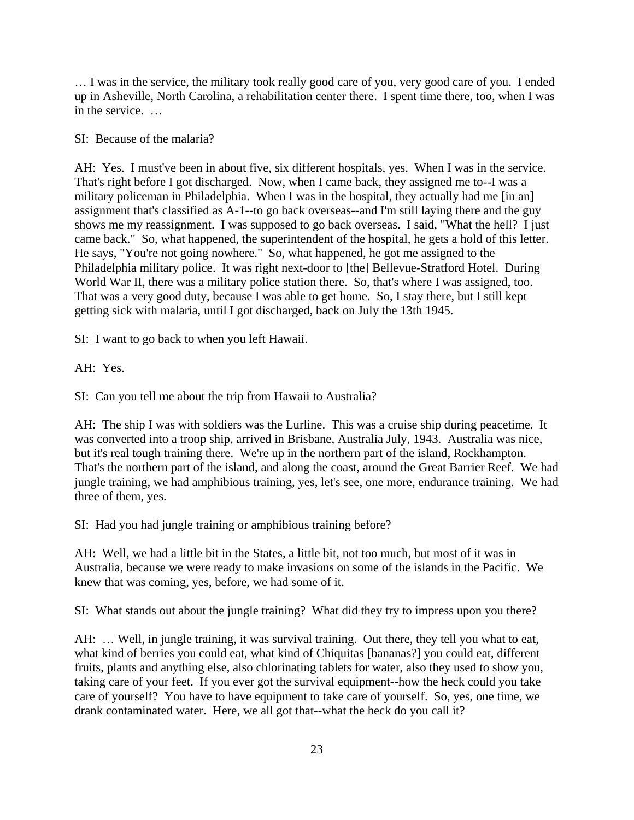… I was in the service, the military took really good care of you, very good care of you. I ended up in Asheville, North Carolina, a rehabilitation center there. I spent time there, too, when I was in the service. …

### SI: Because of the malaria?

AH: Yes. I must've been in about five, six different hospitals, yes. When I was in the service. That's right before I got discharged. Now, when I came back, they assigned me to--I was a military policeman in Philadelphia. When I was in the hospital, they actually had me [in an] assignment that's classified as A-1--to go back overseas--and I'm still laying there and the guy shows me my reassignment. I was supposed to go back overseas. I said, "What the hell? I just came back." So, what happened, the superintendent of the hospital, he gets a hold of this letter. He says, "You're not going nowhere." So, what happened, he got me assigned to the Philadelphia military police. It was right next-door to [the] Bellevue-Stratford Hotel. During World War II, there was a military police station there. So, that's where I was assigned, too. That was a very good duty, because I was able to get home. So, I stay there, but I still kept getting sick with malaria, until I got discharged, back on July the 13th 1945.

SI: I want to go back to when you left Hawaii.

AH: Yes.

SI: Can you tell me about the trip from Hawaii to Australia?

AH: The ship I was with soldiers was the Lurline. This was a cruise ship during peacetime. It was converted into a troop ship, arrived in Brisbane, Australia July, 1943. Australia was nice, but it's real tough training there. We're up in the northern part of the island, Rockhampton. That's the northern part of the island, and along the coast, around the Great Barrier Reef. We had jungle training, we had amphibious training, yes, let's see, one more, endurance training. We had three of them, yes.

SI: Had you had jungle training or amphibious training before?

AH: Well, we had a little bit in the States, a little bit, not too much, but most of it was in Australia, because we were ready to make invasions on some of the islands in the Pacific. We knew that was coming, yes, before, we had some of it.

SI: What stands out about the jungle training? What did they try to impress upon you there?

AH: … Well, in jungle training, it was survival training. Out there, they tell you what to eat, what kind of berries you could eat, what kind of Chiquitas [bananas?] you could eat, different fruits, plants and anything else, also chlorinating tablets for water, also they used to show you, taking care of your feet. If you ever got the survival equipment--how the heck could you take care of yourself? You have to have equipment to take care of yourself. So, yes, one time, we drank contaminated water. Here, we all got that--what the heck do you call it?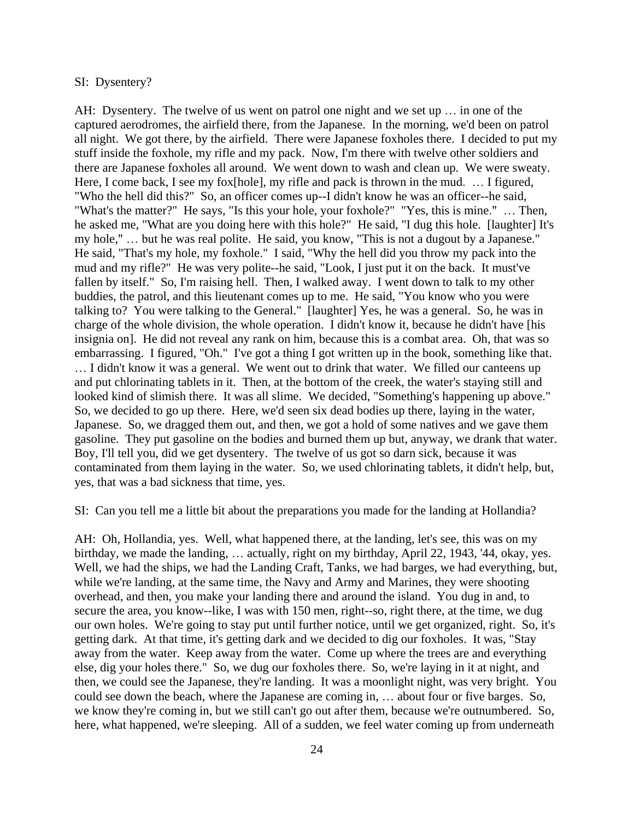### SI: Dysentery?

AH: Dysentery. The twelve of us went on patrol one night and we set up … in one of the captured aerodromes, the airfield there, from the Japanese. In the morning, we'd been on patrol all night. We got there, by the airfield. There were Japanese foxholes there. I decided to put my stuff inside the foxhole, my rifle and my pack. Now, I'm there with twelve other soldiers and there are Japanese foxholes all around. We went down to wash and clean up. We were sweaty. Here, I come back, I see my fox[hole], my rifle and pack is thrown in the mud. ... I figured, "Who the hell did this?" So, an officer comes up--I didn't know he was an officer--he said, "What's the matter?" He says, "Is this your hole, your foxhole?" "Yes, this is mine." … Then, he asked me, "What are you doing here with this hole?" He said, "I dug this hole. [laughter] It's my hole," … but he was real polite. He said, you know, "This is not a dugout by a Japanese." He said, "That's my hole, my foxhole." I said, "Why the hell did you throw my pack into the mud and my rifle?" He was very polite--he said, "Look, I just put it on the back. It must've fallen by itself." So, I'm raising hell. Then, I walked away. I went down to talk to my other buddies, the patrol, and this lieutenant comes up to me. He said, "You know who you were talking to? You were talking to the General." [laughter] Yes, he was a general. So, he was in charge of the whole division, the whole operation. I didn't know it, because he didn't have [his insignia on]. He did not reveal any rank on him, because this is a combat area. Oh, that was so embarrassing. I figured, "Oh." I've got a thing I got written up in the book, something like that. … I didn't know it was a general. We went out to drink that water. We filled our canteens up and put chlorinating tablets in it. Then, at the bottom of the creek, the water's staying still and looked kind of slimish there. It was all slime. We decided, "Something's happening up above." So, we decided to go up there. Here, we'd seen six dead bodies up there, laying in the water, Japanese. So, we dragged them out, and then, we got a hold of some natives and we gave them gasoline. They put gasoline on the bodies and burned them up but, anyway, we drank that water. Boy, I'll tell you, did we get dysentery. The twelve of us got so darn sick, because it was contaminated from them laying in the water. So, we used chlorinating tablets, it didn't help, but, yes, that was a bad sickness that time, yes.

SI: Can you tell me a little bit about the preparations you made for the landing at Hollandia?

AH: Oh, Hollandia, yes. Well, what happened there, at the landing, let's see, this was on my birthday, we made the landing, … actually, right on my birthday, April 22, 1943, '44, okay, yes. Well, we had the ships, we had the Landing Craft, Tanks, we had barges, we had everything, but, while we're landing, at the same time, the Navy and Army and Marines, they were shooting overhead, and then, you make your landing there and around the island. You dug in and, to secure the area, you know--like, I was with 150 men, right--so, right there, at the time, we dug our own holes. We're going to stay put until further notice, until we get organized, right. So, it's getting dark. At that time, it's getting dark and we decided to dig our foxholes. It was, "Stay away from the water. Keep away from the water. Come up where the trees are and everything else, dig your holes there." So, we dug our foxholes there. So, we're laying in it at night, and then, we could see the Japanese, they're landing. It was a moonlight night, was very bright. You could see down the beach, where the Japanese are coming in, … about four or five barges. So, we know they're coming in, but we still can't go out after them, because we're outnumbered. So, here, what happened, we're sleeping. All of a sudden, we feel water coming up from underneath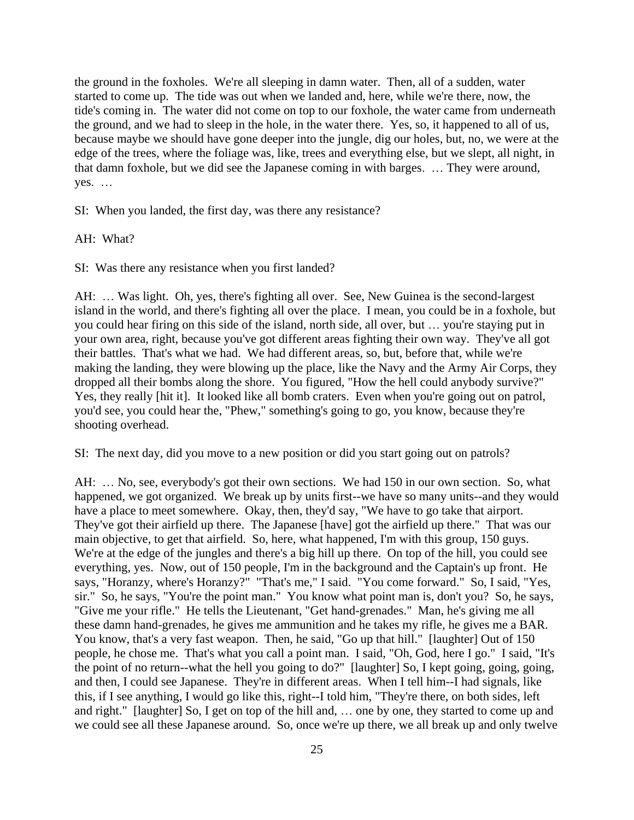the ground in the foxholes. We're all sleeping in damn water. Then, all of a sudden, water started to come up. The tide was out when we landed and, here, while we're there, now, the tide's coming in. The water did not come on top to our foxhole, the water came from underneath the ground, and we had to sleep in the hole, in the water there. Yes, so, it happened to all of us, because maybe we should have gone deeper into the jungle, dig our holes, but, no, we were at the edge of the trees, where the foliage was, like, trees and everything else, but we slept, all night, in that damn foxhole, but we did see the Japanese coming in with barges. … They were around, yes. …

SI: When you landed, the first day, was there any resistance?

AH: What?

SI: Was there any resistance when you first landed?

AH: … Was light. Oh, yes, there's fighting all over. See, New Guinea is the second-largest island in the world, and there's fighting all over the place. I mean, you could be in a foxhole, but you could hear firing on this side of the island, north side, all over, but … you're staying put in your own area, right, because you've got different areas fighting their own way. They've all got their battles. That's what we had. We had different areas, so, but, before that, while we're making the landing, they were blowing up the place, like the Navy and the Army Air Corps, they dropped all their bombs along the shore. You figured, "How the hell could anybody survive?" Yes, they really [hit it]. It looked like all bomb craters. Even when you're going out on patrol, you'd see, you could hear the, "Phew," something's going to go, you know, because they're shooting overhead.

SI: The next day, did you move to a new position or did you start going out on patrols?

AH: … No, see, everybody's got their own sections. We had 150 in our own section. So, what happened, we got organized. We break up by units first--we have so many units--and they would have a place to meet somewhere. Okay, then, they'd say, "We have to go take that airport. They've got their airfield up there. The Japanese [have] got the airfield up there." That was our main objective, to get that airfield. So, here, what happened, I'm with this group, 150 guys. We're at the edge of the jungles and there's a big hill up there. On top of the hill, you could see everything, yes. Now, out of 150 people, I'm in the background and the Captain's up front. He says, "Horanzy, where's Horanzy?" "That's me," I said. "You come forward." So, I said, "Yes, sir." So, he says, "You're the point man." You know what point man is, don't you? So, he says, "Give me your rifle." He tells the Lieutenant, "Get hand-grenades." Man, he's giving me all these damn hand-grenades, he gives me ammunition and he takes my rifle, he gives me a BAR. You know, that's a very fast weapon. Then, he said, "Go up that hill." [laughter] Out of 150 people, he chose me. That's what you call a point man. I said, "Oh, God, here I go." I said, "It's the point of no return--what the hell you going to do?" [laughter] So, I kept going, going, going, and then, I could see Japanese. They're in different areas. When I tell him--I had signals, like this, if I see anything, I would go like this, right--I told him, "They're there, on both sides, left and right." [laughter] So, I get on top of the hill and, … one by one, they started to come up and we could see all these Japanese around. So, once we're up there, we all break up and only twelve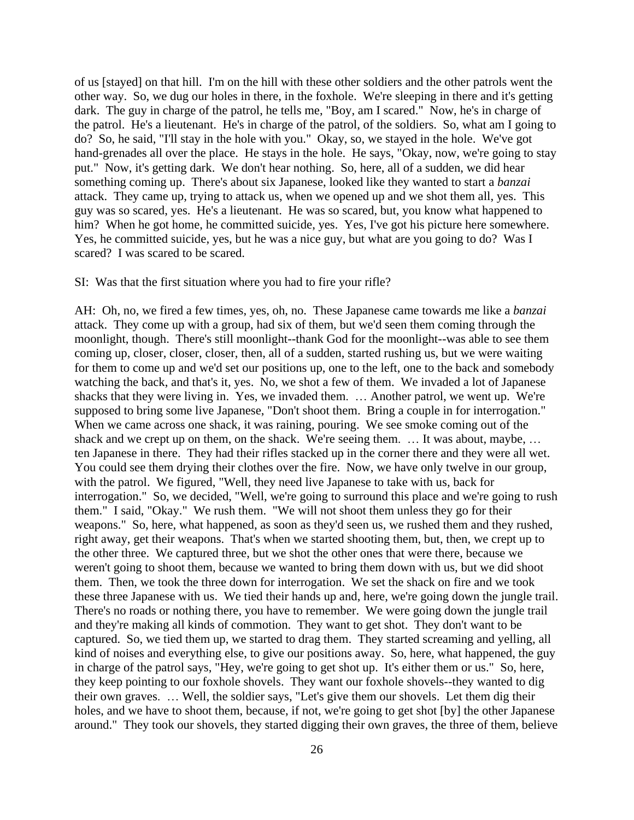of us [stayed] on that hill. I'm on the hill with these other soldiers and the other patrols went the other way. So, we dug our holes in there, in the foxhole. We're sleeping in there and it's getting dark. The guy in charge of the patrol, he tells me, "Boy, am I scared." Now, he's in charge of the patrol. He's a lieutenant. He's in charge of the patrol, of the soldiers. So, what am I going to do? So, he said, "I'll stay in the hole with you." Okay, so, we stayed in the hole. We've got hand-grenades all over the place. He stays in the hole. He says, "Okay, now, we're going to stay put." Now, it's getting dark. We don't hear nothing. So, here, all of a sudden, we did hear something coming up. There's about six Japanese, looked like they wanted to start a *banzai* attack. They came up, trying to attack us, when we opened up and we shot them all, yes. This guy was so scared, yes. He's a lieutenant. He was so scared, but, you know what happened to him? When he got home, he committed suicide, yes. Yes, I've got his picture here somewhere. Yes, he committed suicide, yes, but he was a nice guy, but what are you going to do? Was I scared? I was scared to be scared.

### SI: Was that the first situation where you had to fire your rifle?

AH: Oh, no, we fired a few times, yes, oh, no. These Japanese came towards me like a *banzai* attack. They come up with a group, had six of them, but we'd seen them coming through the moonlight, though. There's still moonlight--thank God for the moonlight--was able to see them coming up, closer, closer, closer, then, all of a sudden, started rushing us, but we were waiting for them to come up and we'd set our positions up, one to the left, one to the back and somebody watching the back, and that's it, yes. No, we shot a few of them. We invaded a lot of Japanese shacks that they were living in. Yes, we invaded them. … Another patrol, we went up. We're supposed to bring some live Japanese, "Don't shoot them. Bring a couple in for interrogation." When we came across one shack, it was raining, pouring. We see smoke coming out of the shack and we crept up on them, on the shack. We're seeing them. ... It was about, maybe, ... ten Japanese in there. They had their rifles stacked up in the corner there and they were all wet. You could see them drying their clothes over the fire. Now, we have only twelve in our group, with the patrol. We figured, "Well, they need live Japanese to take with us, back for interrogation." So, we decided, "Well, we're going to surround this place and we're going to rush them." I said, "Okay." We rush them. "We will not shoot them unless they go for their weapons." So, here, what happened, as soon as they'd seen us, we rushed them and they rushed, right away, get their weapons. That's when we started shooting them, but, then, we crept up to the other three. We captured three, but we shot the other ones that were there, because we weren't going to shoot them, because we wanted to bring them down with us, but we did shoot them. Then, we took the three down for interrogation. We set the shack on fire and we took these three Japanese with us. We tied their hands up and, here, we're going down the jungle trail. There's no roads or nothing there, you have to remember. We were going down the jungle trail and they're making all kinds of commotion. They want to get shot. They don't want to be captured. So, we tied them up, we started to drag them. They started screaming and yelling, all kind of noises and everything else, to give our positions away. So, here, what happened, the guy in charge of the patrol says, "Hey, we're going to get shot up. It's either them or us." So, here, they keep pointing to our foxhole shovels. They want our foxhole shovels--they wanted to dig their own graves. … Well, the soldier says, "Let's give them our shovels. Let them dig their holes, and we have to shoot them, because, if not, we're going to get shot [by] the other Japanese around." They took our shovels, they started digging their own graves, the three of them, believe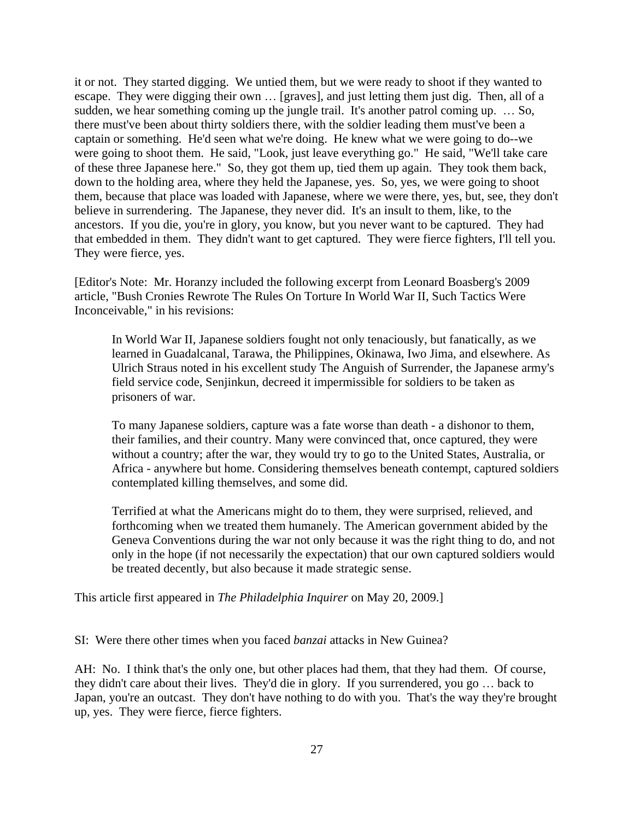it or not. They started digging. We untied them, but we were ready to shoot if they wanted to escape. They were digging their own … [graves], and just letting them just dig. Then, all of a sudden, we hear something coming up the jungle trail. It's another patrol coming up. … So, there must've been about thirty soldiers there, with the soldier leading them must've been a captain or something. He'd seen what we're doing. He knew what we were going to do--we were going to shoot them. He said, "Look, just leave everything go." He said, "We'll take care of these three Japanese here." So, they got them up, tied them up again. They took them back, down to the holding area, where they held the Japanese, yes. So, yes, we were going to shoot them, because that place was loaded with Japanese, where we were there, yes, but, see, they don't believe in surrendering. The Japanese, they never did. It's an insult to them, like, to the ancestors. If you die, you're in glory, you know, but you never want to be captured. They had that embedded in them. They didn't want to get captured. They were fierce fighters, I'll tell you. They were fierce, yes.

[Editor's Note: Mr. Horanzy included the following excerpt from Leonard Boasberg's 2009 article, "Bush Cronies Rewrote The Rules On Torture In World War II, Such Tactics Were Inconceivable," in his revisions:

In World War II, Japanese soldiers fought not only tenaciously, but fanatically, as we learned in Guadalcanal, Tarawa, the Philippines, Okinawa, Iwo Jima, and elsewhere. As Ulrich Straus noted in his excellent study The Anguish of Surrender, the Japanese army's field service code, Senjinkun, decreed it impermissible for soldiers to be taken as prisoners of war.

To many Japanese soldiers, capture was a fate worse than death - a dishonor to them, their families, and their country. Many were convinced that, once captured, they were without a country; after the war, they would try to go to the United States, Australia, or Africa - anywhere but home. Considering themselves beneath contempt, captured soldiers contemplated killing themselves, and some did.

Terrified at what the Americans might do to them, they were surprised, relieved, and forthcoming when we treated them humanely. The American government abided by the Geneva Conventions during the war not only because it was the right thing to do, and not only in the hope (if not necessarily the expectation) that our own captured soldiers would be treated decently, but also because it made strategic sense.

This article first appeared in *The Philadelphia Inquirer* on May 20, 2009.]

SI: Were there other times when you faced *banzai* attacks in New Guinea?

AH: No. I think that's the only one, but other places had them, that they had them. Of course, they didn't care about their lives. They'd die in glory. If you surrendered, you go … back to Japan, you're an outcast. They don't have nothing to do with you. That's the way they're brought up, yes. They were fierce, fierce fighters.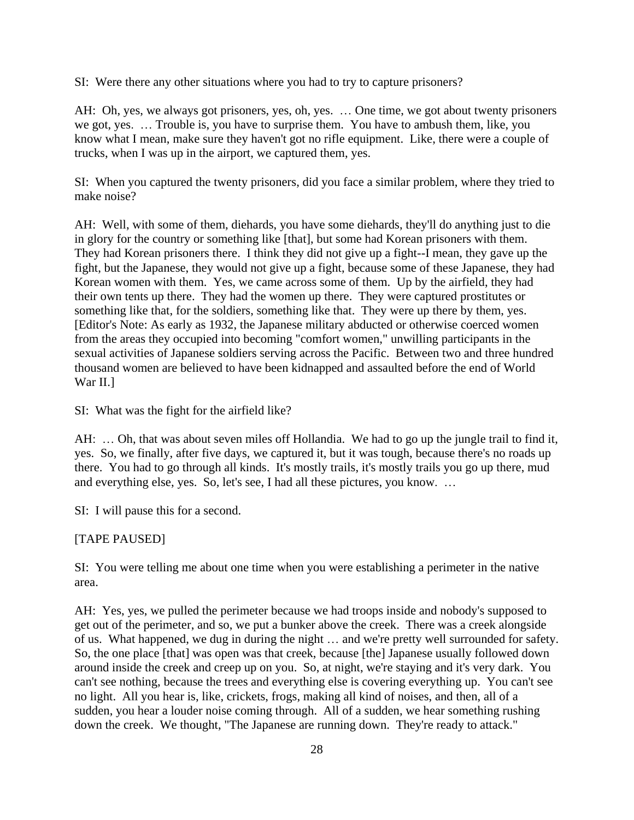SI: Were there any other situations where you had to try to capture prisoners?

AH: Oh, yes, we always got prisoners, yes, oh, yes. … One time, we got about twenty prisoners we got, yes. … Trouble is, you have to surprise them. You have to ambush them, like, you know what I mean, make sure they haven't got no rifle equipment. Like, there were a couple of trucks, when I was up in the airport, we captured them, yes.

SI: When you captured the twenty prisoners, did you face a similar problem, where they tried to make noise?

AH: Well, with some of them, diehards, you have some diehards, they'll do anything just to die in glory for the country or something like [that], but some had Korean prisoners with them. They had Korean prisoners there. I think they did not give up a fight--I mean, they gave up the fight, but the Japanese, they would not give up a fight, because some of these Japanese, they had Korean women with them. Yes, we came across some of them. Up by the airfield, they had their own tents up there. They had the women up there. They were captured prostitutes or something like that, for the soldiers, something like that. They were up there by them, yes. [Editor's Note: As early as 1932, the Japanese military abducted or otherwise coerced women from the areas they occupied into becoming "comfort women," unwilling participants in the sexual activities of Japanese soldiers serving across the Pacific. Between two and three hundred thousand women are believed to have been kidnapped and assaulted before the end of World War II.]

SI: What was the fight for the airfield like?

AH: … Oh, that was about seven miles off Hollandia. We had to go up the jungle trail to find it, yes. So, we finally, after five days, we captured it, but it was tough, because there's no roads up there. You had to go through all kinds. It's mostly trails, it's mostly trails you go up there, mud and everything else, yes. So, let's see, I had all these pictures, you know. …

SI: I will pause this for a second.

## [TAPE PAUSED]

SI: You were telling me about one time when you were establishing a perimeter in the native area.

AH: Yes, yes, we pulled the perimeter because we had troops inside and nobody's supposed to get out of the perimeter, and so, we put a bunker above the creek. There was a creek alongside of us. What happened, we dug in during the night … and we're pretty well surrounded for safety. So, the one place [that] was open was that creek, because [the] Japanese usually followed down around inside the creek and creep up on you. So, at night, we're staying and it's very dark. You can't see nothing, because the trees and everything else is covering everything up. You can't see no light. All you hear is, like, crickets, frogs, making all kind of noises, and then, all of a sudden, you hear a louder noise coming through. All of a sudden, we hear something rushing down the creek. We thought, "The Japanese are running down. They're ready to attack."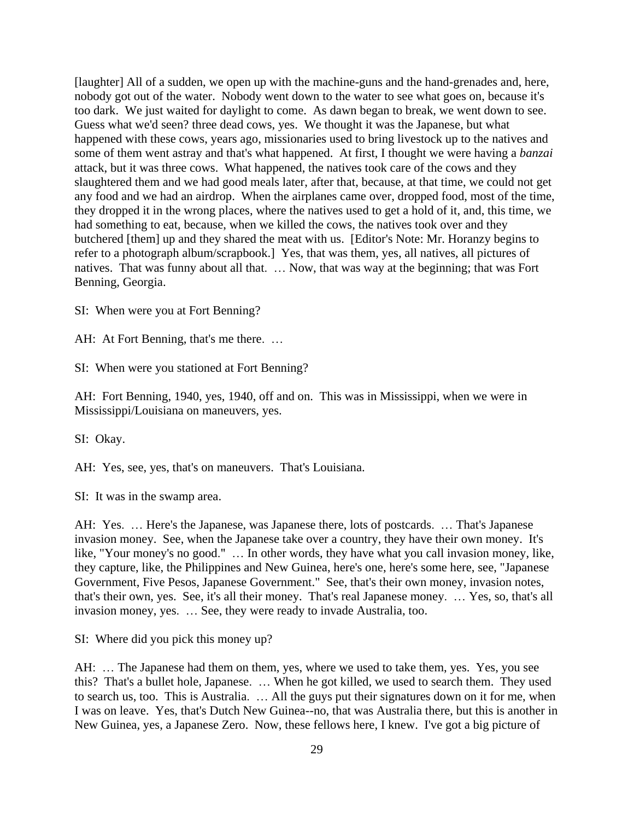[laughter] All of a sudden, we open up with the machine-guns and the hand-grenades and, here, nobody got out of the water. Nobody went down to the water to see what goes on, because it's too dark. We just waited for daylight to come. As dawn began to break, we went down to see. Guess what we'd seen? three dead cows, yes. We thought it was the Japanese, but what happened with these cows, years ago, missionaries used to bring livestock up to the natives and some of them went astray and that's what happened. At first, I thought we were having a *banzai* attack, but it was three cows. What happened, the natives took care of the cows and they slaughtered them and we had good meals later, after that, because, at that time, we could not get any food and we had an airdrop. When the airplanes came over, dropped food, most of the time, they dropped it in the wrong places, where the natives used to get a hold of it, and, this time, we had something to eat, because, when we killed the cows, the natives took over and they butchered [them] up and they shared the meat with us. [Editor's Note: Mr. Horanzy begins to refer to a photograph album/scrapbook.] Yes, that was them, yes, all natives, all pictures of natives. That was funny about all that. … Now, that was way at the beginning; that was Fort Benning, Georgia.

SI: When were you at Fort Benning?

AH: At Fort Benning, that's me there. …

SI: When were you stationed at Fort Benning?

AH: Fort Benning, 1940, yes, 1940, off and on. This was in Mississippi, when we were in Mississippi/Louisiana on maneuvers, yes.

SI: Okay.

AH: Yes, see, yes, that's on maneuvers. That's Louisiana.

SI: It was in the swamp area.

AH: Yes. … Here's the Japanese, was Japanese there, lots of postcards. … That's Japanese invasion money. See, when the Japanese take over a country, they have their own money. It's like, "Your money's no good." … In other words, they have what you call invasion money, like, they capture, like, the Philippines and New Guinea, here's one, here's some here, see, "Japanese Government, Five Pesos, Japanese Government." See, that's their own money, invasion notes, that's their own, yes. See, it's all their money. That's real Japanese money. … Yes, so, that's all invasion money, yes. … See, they were ready to invade Australia, too.

SI: Where did you pick this money up?

AH: … The Japanese had them on them, yes, where we used to take them, yes. Yes, you see this? That's a bullet hole, Japanese. … When he got killed, we used to search them. They used to search us, too. This is Australia. … All the guys put their signatures down on it for me, when I was on leave. Yes, that's Dutch New Guinea--no, that was Australia there, but this is another in New Guinea, yes, a Japanese Zero. Now, these fellows here, I knew. I've got a big picture of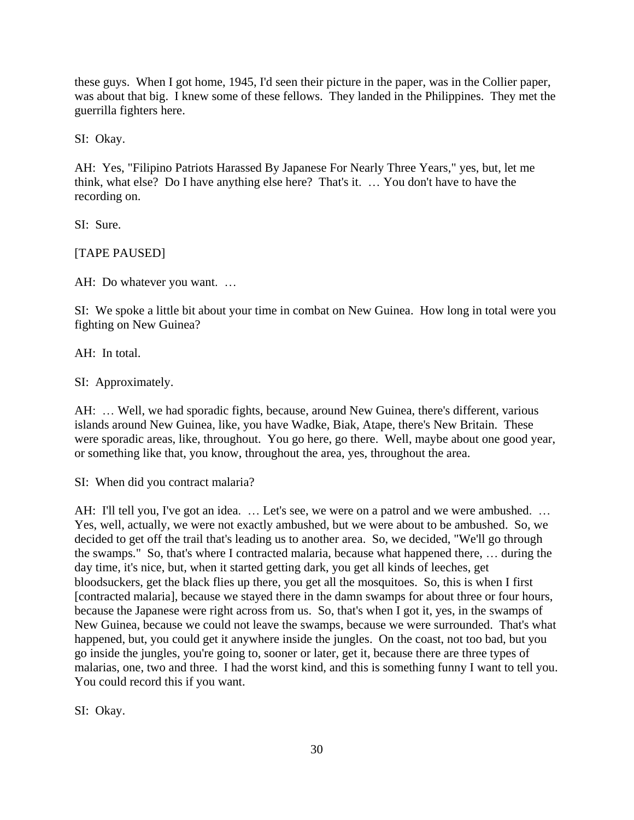these guys. When I got home, 1945, I'd seen their picture in the paper, was in the Collier paper, was about that big. I knew some of these fellows. They landed in the Philippines. They met the guerrilla fighters here.

SI: Okay.

AH: Yes, "Filipino Patriots Harassed By Japanese For Nearly Three Years," yes, but, let me think, what else? Do I have anything else here? That's it. … You don't have to have the recording on.

SI: Sure.

[TAPE PAUSED]

AH: Do whatever you want. …

SI: We spoke a little bit about your time in combat on New Guinea. How long in total were you fighting on New Guinea?

AH: In total.

SI: Approximately.

AH: … Well, we had sporadic fights, because, around New Guinea, there's different, various islands around New Guinea, like, you have Wadke, Biak, Atape, there's New Britain. These were sporadic areas, like, throughout. You go here, go there. Well, maybe about one good year, or something like that, you know, throughout the area, yes, throughout the area.

SI: When did you contract malaria?

AH: I'll tell you, I've got an idea. ... Let's see, we were on a patrol and we were ambushed. ... Yes, well, actually, we were not exactly ambushed, but we were about to be ambushed. So, we decided to get off the trail that's leading us to another area. So, we decided, "We'll go through the swamps." So, that's where I contracted malaria, because what happened there, … during the day time, it's nice, but, when it started getting dark, you get all kinds of leeches, get bloodsuckers, get the black flies up there, you get all the mosquitoes. So, this is when I first [contracted malaria], because we stayed there in the damn swamps for about three or four hours, because the Japanese were right across from us. So, that's when I got it, yes, in the swamps of New Guinea, because we could not leave the swamps, because we were surrounded. That's what happened, but, you could get it anywhere inside the jungles. On the coast, not too bad, but you go inside the jungles, you're going to, sooner or later, get it, because there are three types of malarias, one, two and three. I had the worst kind, and this is something funny I want to tell you. You could record this if you want.

SI: Okay.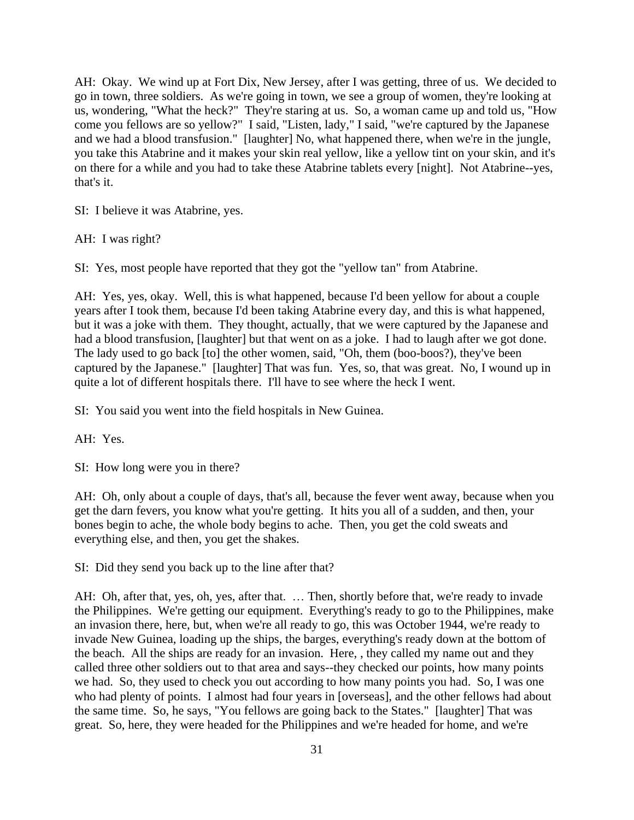AH: Okay. We wind up at Fort Dix, New Jersey, after I was getting, three of us. We decided to go in town, three soldiers. As we're going in town, we see a group of women, they're looking at us, wondering, "What the heck?" They're staring at us. So, a woman came up and told us, "How come you fellows are so yellow?" I said, "Listen, lady," I said, "we're captured by the Japanese and we had a blood transfusion." [laughter] No, what happened there, when we're in the jungle, you take this Atabrine and it makes your skin real yellow, like a yellow tint on your skin, and it's on there for a while and you had to take these Atabrine tablets every [night]. Not Atabrine--yes, that's it.

SI: I believe it was Atabrine, yes.

AH: I was right?

SI: Yes, most people have reported that they got the "yellow tan" from Atabrine.

AH: Yes, yes, okay. Well, this is what happened, because I'd been yellow for about a couple years after I took them, because I'd been taking Atabrine every day, and this is what happened, but it was a joke with them. They thought, actually, that we were captured by the Japanese and had a blood transfusion, [laughter] but that went on as a joke. I had to laugh after we got done. The lady used to go back [to] the other women, said, "Oh, them (boo-boos?), they've been captured by the Japanese." [laughter] That was fun. Yes, so, that was great. No, I wound up in quite a lot of different hospitals there. I'll have to see where the heck I went.

SI: You said you went into the field hospitals in New Guinea.

AH: Yes.

SI: How long were you in there?

AH: Oh, only about a couple of days, that's all, because the fever went away, because when you get the darn fevers, you know what you're getting. It hits you all of a sudden, and then, your bones begin to ache, the whole body begins to ache. Then, you get the cold sweats and everything else, and then, you get the shakes.

SI: Did they send you back up to the line after that?

AH: Oh, after that, yes, oh, yes, after that. … Then, shortly before that, we're ready to invade the Philippines. We're getting our equipment. Everything's ready to go to the Philippines, make an invasion there, here, but, when we're all ready to go, this was October 1944, we're ready to invade New Guinea, loading up the ships, the barges, everything's ready down at the bottom of the beach. All the ships are ready for an invasion. Here, , they called my name out and they called three other soldiers out to that area and says--they checked our points, how many points we had. So, they used to check you out according to how many points you had. So, I was one who had plenty of points. I almost had four years in [overseas], and the other fellows had about the same time. So, he says, "You fellows are going back to the States." [laughter] That was great. So, here, they were headed for the Philippines and we're headed for home, and we're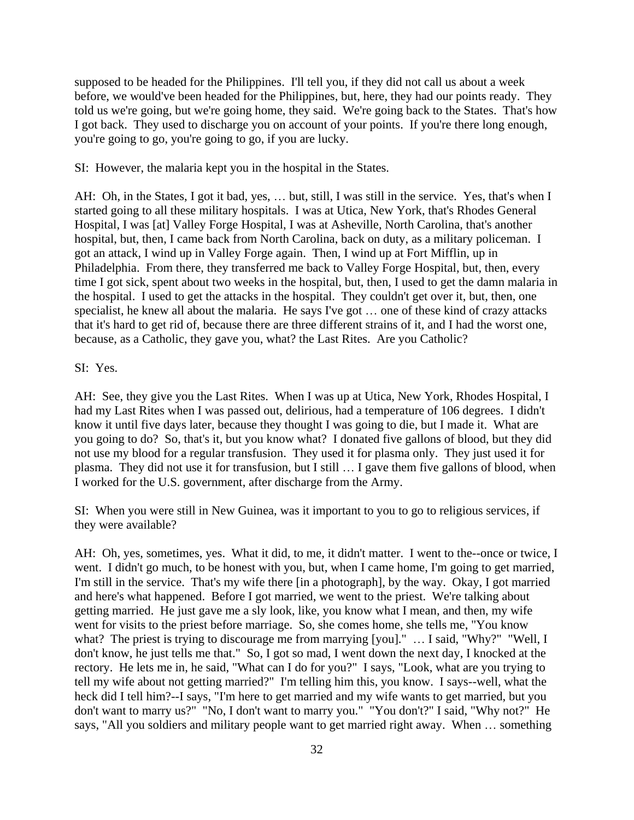supposed to be headed for the Philippines. I'll tell you, if they did not call us about a week before, we would've been headed for the Philippines, but, here, they had our points ready. They told us we're going, but we're going home, they said. We're going back to the States. That's how I got back. They used to discharge you on account of your points. If you're there long enough, you're going to go, you're going to go, if you are lucky.

SI: However, the malaria kept you in the hospital in the States.

AH: Oh, in the States, I got it bad, yes, … but, still, I was still in the service. Yes, that's when I started going to all these military hospitals. I was at Utica, New York, that's Rhodes General Hospital, I was [at] Valley Forge Hospital, I was at Asheville, North Carolina, that's another hospital, but, then, I came back from North Carolina, back on duty, as a military policeman. I got an attack, I wind up in Valley Forge again. Then, I wind up at Fort Mifflin, up in Philadelphia. From there, they transferred me back to Valley Forge Hospital, but, then, every time I got sick, spent about two weeks in the hospital, but, then, I used to get the damn malaria in the hospital. I used to get the attacks in the hospital. They couldn't get over it, but, then, one specialist, he knew all about the malaria. He says I've got … one of these kind of crazy attacks that it's hard to get rid of, because there are three different strains of it, and I had the worst one, because, as a Catholic, they gave you, what? the Last Rites. Are you Catholic?

### SI: Yes.

AH: See, they give you the Last Rites. When I was up at Utica, New York, Rhodes Hospital, I had my Last Rites when I was passed out, delirious, had a temperature of 106 degrees. I didn't know it until five days later, because they thought I was going to die, but I made it. What are you going to do? So, that's it, but you know what? I donated five gallons of blood, but they did not use my blood for a regular transfusion. They used it for plasma only. They just used it for plasma. They did not use it for transfusion, but I still … I gave them five gallons of blood, when I worked for the U.S. government, after discharge from the Army.

SI: When you were still in New Guinea, was it important to you to go to religious services, if they were available?

AH: Oh, yes, sometimes, yes. What it did, to me, it didn't matter. I went to the--once or twice, I went. I didn't go much, to be honest with you, but, when I came home, I'm going to get married, I'm still in the service. That's my wife there [in a photograph], by the way. Okay, I got married and here's what happened. Before I got married, we went to the priest. We're talking about getting married. He just gave me a sly look, like, you know what I mean, and then, my wife went for visits to the priest before marriage. So, she comes home, she tells me, "You know what? The priest is trying to discourage me from marrying [you]." ... I said, "Why?" "Well, I don't know, he just tells me that." So, I got so mad, I went down the next day, I knocked at the rectory. He lets me in, he said, "What can I do for you?" I says, "Look, what are you trying to tell my wife about not getting married?" I'm telling him this, you know. I says--well, what the heck did I tell him?--I says, "I'm here to get married and my wife wants to get married, but you don't want to marry us?" "No, I don't want to marry you." "You don't?" I said, "Why not?" He says, "All you soldiers and military people want to get married right away. When … something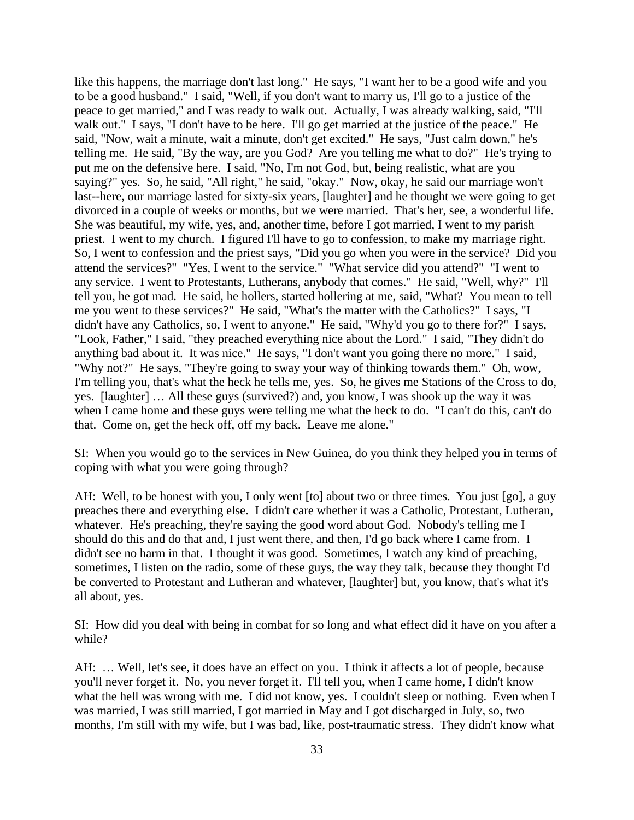like this happens, the marriage don't last long." He says, "I want her to be a good wife and you to be a good husband." I said, "Well, if you don't want to marry us, I'll go to a justice of the peace to get married," and I was ready to walk out. Actually, I was already walking, said, "I'll walk out." I says, "I don't have to be here. I'll go get married at the justice of the peace." He said, "Now, wait a minute, wait a minute, don't get excited." He says, "Just calm down," he's telling me. He said, "By the way, are you God? Are you telling me what to do?" He's trying to put me on the defensive here. I said, "No, I'm not God, but, being realistic, what are you saying?" yes. So, he said, "All right," he said, "okay." Now, okay, he said our marriage won't last--here, our marriage lasted for sixty-six years, [laughter] and he thought we were going to get divorced in a couple of weeks or months, but we were married. That's her, see, a wonderful life. She was beautiful, my wife, yes, and, another time, before I got married, I went to my parish priest. I went to my church. I figured I'll have to go to confession, to make my marriage right. So, I went to confession and the priest says, "Did you go when you were in the service? Did you attend the services?" "Yes, I went to the service." "What service did you attend?" "I went to any service. I went to Protestants, Lutherans, anybody that comes." He said, "Well, why?" I'll tell you, he got mad. He said, he hollers, started hollering at me, said, "What? You mean to tell me you went to these services?" He said, "What's the matter with the Catholics?" I says, "I didn't have any Catholics, so, I went to anyone." He said, "Why'd you go to there for?" I says, "Look, Father," I said, "they preached everything nice about the Lord." I said, "They didn't do anything bad about it. It was nice." He says, "I don't want you going there no more." I said, "Why not?" He says, "They're going to sway your way of thinking towards them." Oh, wow, I'm telling you, that's what the heck he tells me, yes. So, he gives me Stations of the Cross to do, yes. [laughter] … All these guys (survived?) and, you know, I was shook up the way it was when I came home and these guys were telling me what the heck to do. "I can't do this, can't do that. Come on, get the heck off, off my back. Leave me alone."

SI: When you would go to the services in New Guinea, do you think they helped you in terms of coping with what you were going through?

AH: Well, to be honest with you, I only went [to] about two or three times. You just [go], a guy preaches there and everything else. I didn't care whether it was a Catholic, Protestant, Lutheran, whatever. He's preaching, they're saying the good word about God. Nobody's telling me I should do this and do that and, I just went there, and then, I'd go back where I came from. I didn't see no harm in that. I thought it was good. Sometimes, I watch any kind of preaching, sometimes, I listen on the radio, some of these guys, the way they talk, because they thought I'd be converted to Protestant and Lutheran and whatever, [laughter] but, you know, that's what it's all about, yes.

SI: How did you deal with being in combat for so long and what effect did it have on you after a while?

AH: … Well, let's see, it does have an effect on you. I think it affects a lot of people, because you'll never forget it. No, you never forget it. I'll tell you, when I came home, I didn't know what the hell was wrong with me. I did not know, yes. I couldn't sleep or nothing. Even when I was married, I was still married, I got married in May and I got discharged in July, so, two months, I'm still with my wife, but I was bad, like, post-traumatic stress. They didn't know what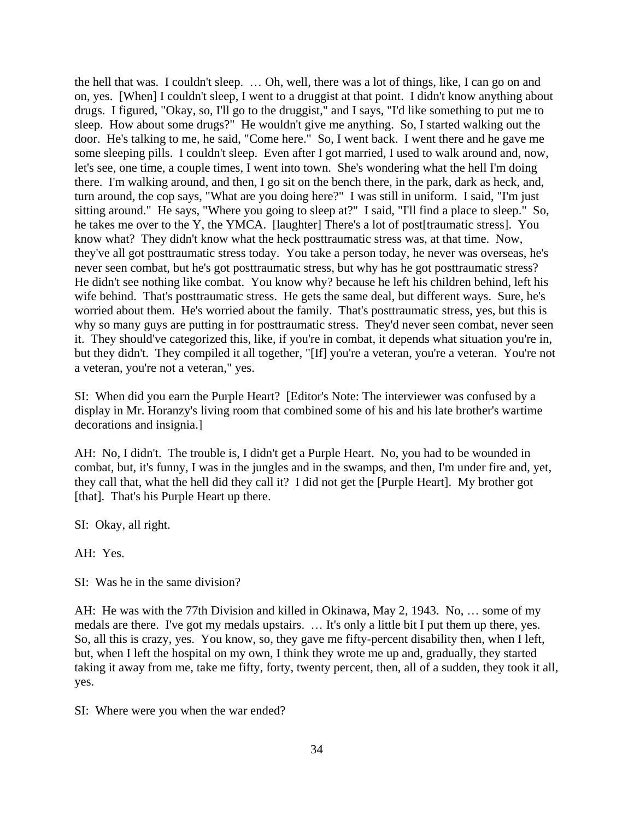the hell that was. I couldn't sleep. … Oh, well, there was a lot of things, like, I can go on and on, yes. [When] I couldn't sleep, I went to a druggist at that point. I didn't know anything about drugs. I figured, "Okay, so, I'll go to the druggist," and I says, "I'd like something to put me to sleep. How about some drugs?" He wouldn't give me anything. So, I started walking out the door. He's talking to me, he said, "Come here." So, I went back. I went there and he gave me some sleeping pills. I couldn't sleep. Even after I got married, I used to walk around and, now, let's see, one time, a couple times, I went into town. She's wondering what the hell I'm doing there. I'm walking around, and then, I go sit on the bench there, in the park, dark as heck, and, turn around, the cop says, "What are you doing here?" I was still in uniform. I said, "I'm just sitting around." He says, "Where you going to sleep at?" I said, "I'll find a place to sleep." So, he takes me over to the Y, the YMCA. [laughter] There's a lot of post[traumatic stress]. You know what? They didn't know what the heck posttraumatic stress was, at that time. Now, they've all got posttraumatic stress today. You take a person today, he never was overseas, he's never seen combat, but he's got posttraumatic stress, but why has he got posttraumatic stress? He didn't see nothing like combat. You know why? because he left his children behind, left his wife behind. That's posttraumatic stress. He gets the same deal, but different ways. Sure, he's worried about them. He's worried about the family. That's posttraumatic stress, yes, but this is why so many guys are putting in for posttraumatic stress. They'd never seen combat, never seen it. They should've categorized this, like, if you're in combat, it depends what situation you're in, but they didn't. They compiled it all together, "[If] you're a veteran, you're a veteran. You're not a veteran, you're not a veteran," yes.

SI: When did you earn the Purple Heart? [Editor's Note: The interviewer was confused by a display in Mr. Horanzy's living room that combined some of his and his late brother's wartime decorations and insignia.]

AH: No, I didn't. The trouble is, I didn't get a Purple Heart. No, you had to be wounded in combat, but, it's funny, I was in the jungles and in the swamps, and then, I'm under fire and, yet, they call that, what the hell did they call it? I did not get the [Purple Heart]. My brother got [that]. That's his Purple Heart up there.

SI: Okay, all right.

AH: Yes.

SI: Was he in the same division?

AH: He was with the 77th Division and killed in Okinawa, May 2, 1943. No, … some of my medals are there. I've got my medals upstairs. … It's only a little bit I put them up there, yes. So, all this is crazy, yes. You know, so, they gave me fifty-percent disability then, when I left, but, when I left the hospital on my own, I think they wrote me up and, gradually, they started taking it away from me, take me fifty, forty, twenty percent, then, all of a sudden, they took it all, yes.

SI: Where were you when the war ended?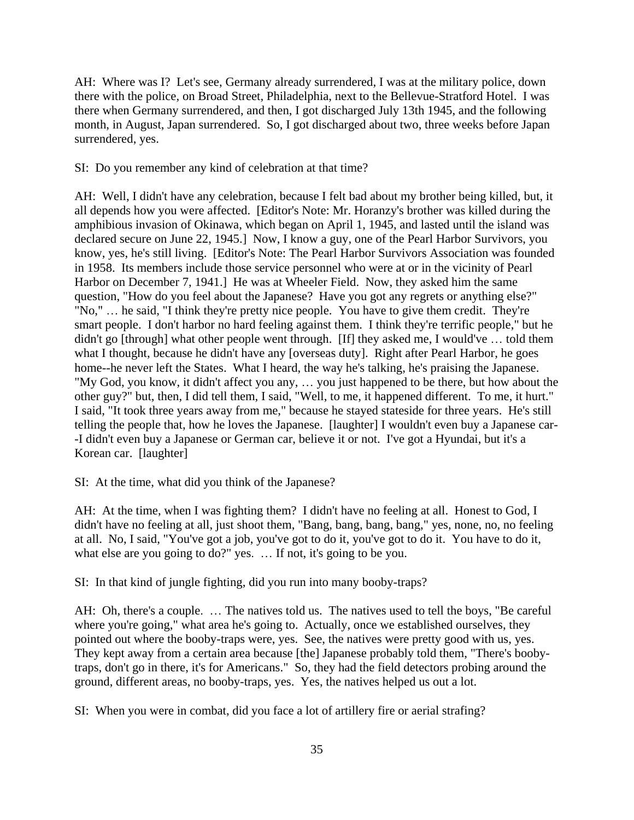AH: Where was I? Let's see, Germany already surrendered, I was at the military police, down there with the police, on Broad Street, Philadelphia, next to the Bellevue-Stratford Hotel. I was there when Germany surrendered, and then, I got discharged July 13th 1945, and the following month, in August, Japan surrendered. So, I got discharged about two, three weeks before Japan surrendered, yes.

### SI: Do you remember any kind of celebration at that time?

AH: Well, I didn't have any celebration, because I felt bad about my brother being killed, but, it all depends how you were affected. [Editor's Note: Mr. Horanzy's brother was killed during the amphibious invasion of Okinawa, which began on April 1, 1945, and lasted until the island was declared secure on June 22, 1945.] Now, I know a guy, one of the Pearl Harbor Survivors, you know, yes, he's still living. [Editor's Note: The Pearl Harbor Survivors Association was founded in 1958. Its members include those service personnel who were at or in the vicinity of Pearl Harbor on December 7, 1941.] He was at Wheeler Field. Now, they asked him the same question, "How do you feel about the Japanese? Have you got any regrets or anything else?" "No," … he said, "I think they're pretty nice people. You have to give them credit. They're smart people. I don't harbor no hard feeling against them. I think they're terrific people," but he didn't go [through] what other people went through. [If] they asked me, I would've ... told them what I thought, because he didn't have any [overseas duty]. Right after Pearl Harbor, he goes home--he never left the States. What I heard, the way he's talking, he's praising the Japanese. "My God, you know, it didn't affect you any, … you just happened to be there, but how about the other guy?" but, then, I did tell them, I said, "Well, to me, it happened different. To me, it hurt." I said, "It took three years away from me," because he stayed stateside for three years. He's still telling the people that, how he loves the Japanese. [laughter] I wouldn't even buy a Japanese car- -I didn't even buy a Japanese or German car, believe it or not. I've got a Hyundai, but it's a Korean car. [laughter]

SI: At the time, what did you think of the Japanese?

AH: At the time, when I was fighting them? I didn't have no feeling at all. Honest to God, I didn't have no feeling at all, just shoot them, "Bang, bang, bang, bang," yes, none, no, no feeling at all. No, I said, "You've got a job, you've got to do it, you've got to do it. You have to do it, what else are you going to do?" yes. … If not, it's going to be you.

SI: In that kind of jungle fighting, did you run into many booby-traps?

AH: Oh, there's a couple. … The natives told us. The natives used to tell the boys, "Be careful where you're going," what area he's going to. Actually, once we established ourselves, they pointed out where the booby-traps were, yes. See, the natives were pretty good with us, yes. They kept away from a certain area because [the] Japanese probably told them, "There's boobytraps, don't go in there, it's for Americans." So, they had the field detectors probing around the ground, different areas, no booby-traps, yes. Yes, the natives helped us out a lot.

SI: When you were in combat, did you face a lot of artillery fire or aerial strafing?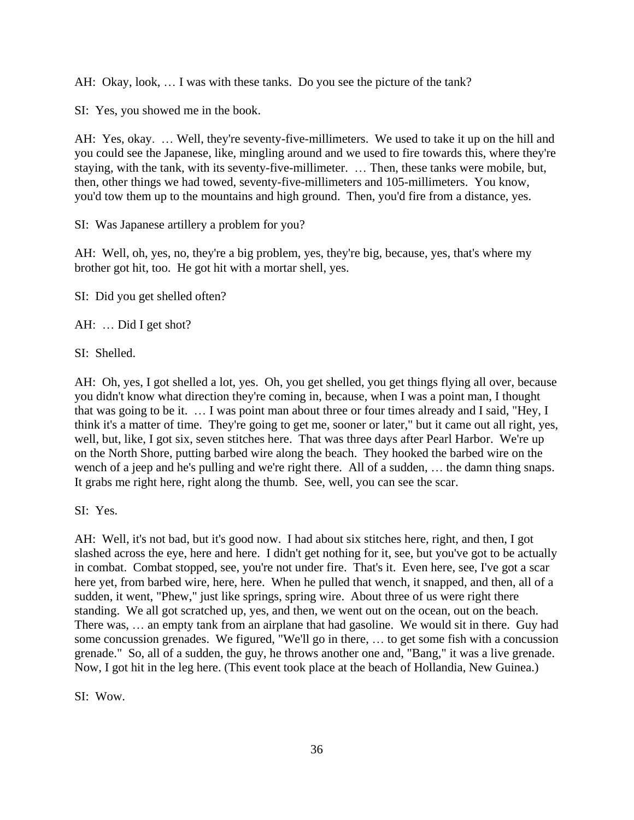AH: Okay, look, … I was with these tanks. Do you see the picture of the tank?

SI: Yes, you showed me in the book.

AH: Yes, okay. … Well, they're seventy-five-millimeters. We used to take it up on the hill and you could see the Japanese, like, mingling around and we used to fire towards this, where they're staying, with the tank, with its seventy-five-millimeter. … Then, these tanks were mobile, but, then, other things we had towed, seventy-five-millimeters and 105-millimeters. You know, you'd tow them up to the mountains and high ground. Then, you'd fire from a distance, yes.

SI: Was Japanese artillery a problem for you?

AH: Well, oh, yes, no, they're a big problem, yes, they're big, because, yes, that's where my brother got hit, too. He got hit with a mortar shell, yes.

SI: Did you get shelled often?

AH: … Did I get shot?

SI: Shelled.

AH: Oh, yes, I got shelled a lot, yes. Oh, you get shelled, you get things flying all over, because you didn't know what direction they're coming in, because, when I was a point man, I thought that was going to be it. … I was point man about three or four times already and I said, "Hey, I think it's a matter of time. They're going to get me, sooner or later," but it came out all right, yes, well, but, like, I got six, seven stitches here. That was three days after Pearl Harbor. We're up on the North Shore, putting barbed wire along the beach. They hooked the barbed wire on the wench of a jeep and he's pulling and we're right there. All of a sudden, … the damn thing snaps. It grabs me right here, right along the thumb. See, well, you can see the scar.

SI: Yes.

AH: Well, it's not bad, but it's good now. I had about six stitches here, right, and then, I got slashed across the eye, here and here. I didn't get nothing for it, see, but you've got to be actually in combat. Combat stopped, see, you're not under fire. That's it. Even here, see, I've got a scar here yet, from barbed wire, here, here. When he pulled that wench, it snapped, and then, all of a sudden, it went, "Phew," just like springs, spring wire. About three of us were right there standing. We all got scratched up, yes, and then, we went out on the ocean, out on the beach. There was, … an empty tank from an airplane that had gasoline. We would sit in there. Guy had some concussion grenades. We figured, "We'll go in there, … to get some fish with a concussion grenade." So, all of a sudden, the guy, he throws another one and, "Bang," it was a live grenade. Now, I got hit in the leg here. (This event took place at the beach of Hollandia, New Guinea.)

SI: Wow.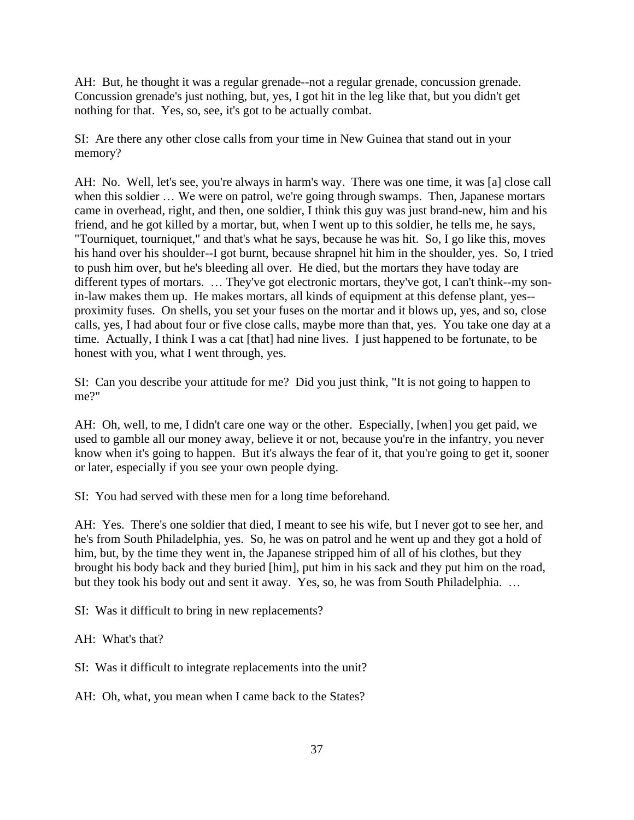AH: But, he thought it was a regular grenade--not a regular grenade, concussion grenade. Concussion grenade's just nothing, but, yes, I got hit in the leg like that, but you didn't get nothing for that. Yes, so, see, it's got to be actually combat.

SI: Are there any other close calls from your time in New Guinea that stand out in your memory?

AH: No. Well, let's see, you're always in harm's way. There was one time, it was [a] close call when this soldier ... We were on patrol, we're going through swamps. Then, Japanese mortars came in overhead, right, and then, one soldier, I think this guy was just brand-new, him and his friend, and he got killed by a mortar, but, when I went up to this soldier, he tells me, he says, "Tourniquet, tourniquet," and that's what he says, because he was hit. So, I go like this, moves his hand over his shoulder--I got burnt, because shrapnel hit him in the shoulder, yes. So, I tried to push him over, but he's bleeding all over. He died, but the mortars they have today are different types of mortars. … They've got electronic mortars, they've got, I can't think--my sonin-law makes them up. He makes mortars, all kinds of equipment at this defense plant, yes- proximity fuses. On shells, you set your fuses on the mortar and it blows up, yes, and so, close calls, yes, I had about four or five close calls, maybe more than that, yes. You take one day at a time. Actually, I think I was a cat [that] had nine lives. I just happened to be fortunate, to be honest with you, what I went through, yes.

SI: Can you describe your attitude for me? Did you just think, "It is not going to happen to me?"

AH: Oh, well, to me, I didn't care one way or the other. Especially, [when] you get paid, we used to gamble all our money away, believe it or not, because you're in the infantry, you never know when it's going to happen. But it's always the fear of it, that you're going to get it, sooner or later, especially if you see your own people dying.

SI: You had served with these men for a long time beforehand.

AH: Yes. There's one soldier that died, I meant to see his wife, but I never got to see her, and he's from South Philadelphia, yes. So, he was on patrol and he went up and they got a hold of him, but, by the time they went in, the Japanese stripped him of all of his clothes, but they brought his body back and they buried [him], put him in his sack and they put him on the road, but they took his body out and sent it away. Yes, so, he was from South Philadelphia. …

SI: Was it difficult to bring in new replacements?

AH: What's that?

SI: Was it difficult to integrate replacements into the unit?

AH: Oh, what, you mean when I came back to the States?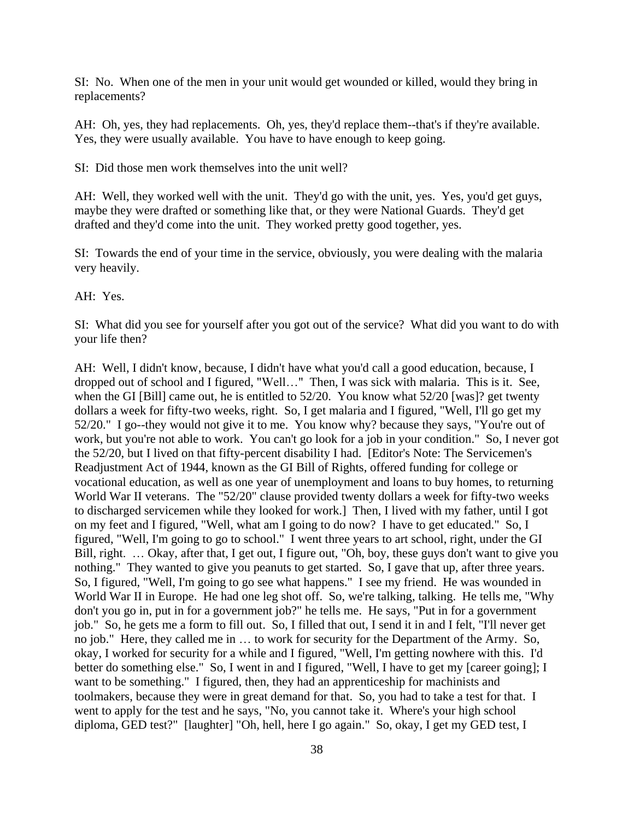SI: No. When one of the men in your unit would get wounded or killed, would they bring in replacements?

AH: Oh, yes, they had replacements. Oh, yes, they'd replace them--that's if they're available. Yes, they were usually available. You have to have enough to keep going.

SI: Did those men work themselves into the unit well?

AH: Well, they worked well with the unit. They'd go with the unit, yes. Yes, you'd get guys, maybe they were drafted or something like that, or they were National Guards. They'd get drafted and they'd come into the unit. They worked pretty good together, yes.

SI: Towards the end of your time in the service, obviously, you were dealing with the malaria very heavily.

AH: Yes.

SI: What did you see for yourself after you got out of the service? What did you want to do with your life then?

AH: Well, I didn't know, because, I didn't have what you'd call a good education, because, I dropped out of school and I figured, "Well…" Then, I was sick with malaria. This is it. See, when the GI [Bill] came out, he is entitled to 52/20. You know what 52/20 [was]? get twenty dollars a week for fifty-two weeks, right. So, I get malaria and I figured, "Well, I'll go get my 52/20." I go--they would not give it to me. You know why? because they says, "You're out of work, but you're not able to work. You can't go look for a job in your condition." So, I never got the 52/20, but I lived on that fifty-percent disability I had. [Editor's Note: The Servicemen's Readjustment Act of 1944, known as the GI Bill of Rights, offered funding for college or vocational education, as well as one year of unemployment and loans to buy homes, to returning World War II veterans. The "52/20" clause provided twenty dollars a week for fifty-two weeks to discharged servicemen while they looked for work.] Then, I lived with my father, until I got on my feet and I figured, "Well, what am I going to do now? I have to get educated." So, I figured, "Well, I'm going to go to school." I went three years to art school, right, under the GI Bill, right. … Okay, after that, I get out, I figure out, "Oh, boy, these guys don't want to give you nothing." They wanted to give you peanuts to get started. So, I gave that up, after three years. So, I figured, "Well, I'm going to go see what happens." I see my friend. He was wounded in World War II in Europe. He had one leg shot off. So, we're talking, talking. He tells me, "Why don't you go in, put in for a government job?" he tells me. He says, "Put in for a government job." So, he gets me a form to fill out. So, I filled that out, I send it in and I felt, "I'll never get no job." Here, they called me in … to work for security for the Department of the Army. So, okay, I worked for security for a while and I figured, "Well, I'm getting nowhere with this. I'd better do something else." So, I went in and I figured, "Well, I have to get my [career going]; I want to be something." I figured, then, they had an apprenticeship for machinists and toolmakers, because they were in great demand for that. So, you had to take a test for that. I went to apply for the test and he says, "No, you cannot take it. Where's your high school diploma, GED test?" [laughter] "Oh, hell, here I go again." So, okay, I get my GED test, I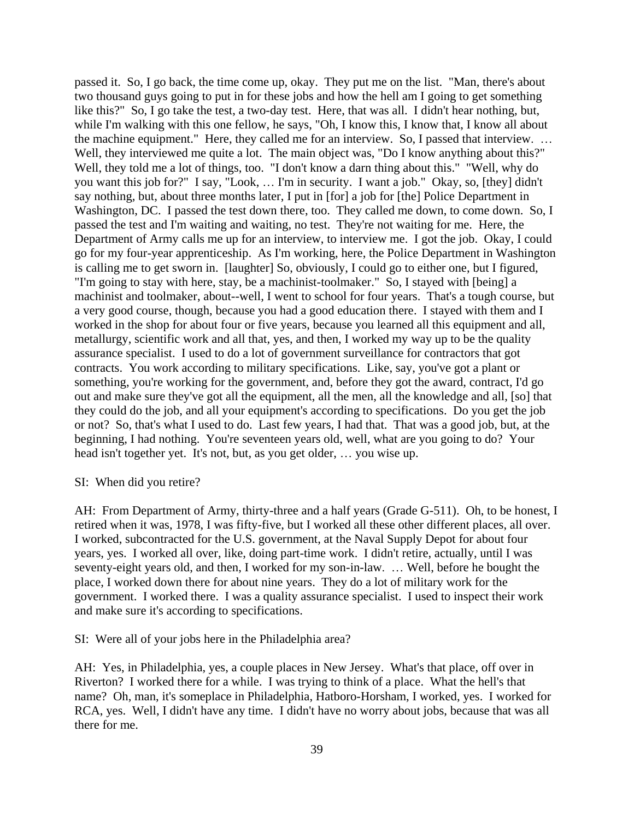passed it. So, I go back, the time come up, okay. They put me on the list. "Man, there's about two thousand guys going to put in for these jobs and how the hell am I going to get something like this?" So, I go take the test, a two-day test. Here, that was all. I didn't hear nothing, but, while I'm walking with this one fellow, he says, "Oh, I know this, I know that, I know all about the machine equipment." Here, they called me for an interview. So, I passed that interview. … Well, they interviewed me quite a lot. The main object was, "Do I know anything about this?" Well, they told me a lot of things, too. "I don't know a darn thing about this." "Well, why do you want this job for?" I say, "Look, … I'm in security. I want a job." Okay, so, [they] didn't say nothing, but, about three months later, I put in [for] a job for [the] Police Department in Washington, DC. I passed the test down there, too. They called me down, to come down. So, I passed the test and I'm waiting and waiting, no test. They're not waiting for me. Here, the Department of Army calls me up for an interview, to interview me. I got the job. Okay, I could go for my four-year apprenticeship. As I'm working, here, the Police Department in Washington is calling me to get sworn in. [laughter] So, obviously, I could go to either one, but I figured, "I'm going to stay with here, stay, be a machinist-toolmaker." So, I stayed with [being] a machinist and toolmaker, about--well, I went to school for four years. That's a tough course, but a very good course, though, because you had a good education there. I stayed with them and I worked in the shop for about four or five years, because you learned all this equipment and all, metallurgy, scientific work and all that, yes, and then, I worked my way up to be the quality assurance specialist. I used to do a lot of government surveillance for contractors that got contracts. You work according to military specifications. Like, say, you've got a plant or something, you're working for the government, and, before they got the award, contract, I'd go out and make sure they've got all the equipment, all the men, all the knowledge and all, [so] that they could do the job, and all your equipment's according to specifications. Do you get the job or not? So, that's what I used to do. Last few years, I had that. That was a good job, but, at the beginning, I had nothing. You're seventeen years old, well, what are you going to do? Your head isn't together yet. It's not, but, as you get older, … you wise up.

#### SI: When did you retire?

AH: From Department of Army, thirty-three and a half years (Grade G-511). Oh, to be honest, I retired when it was, 1978, I was fifty-five, but I worked all these other different places, all over. I worked, subcontracted for the U.S. government, at the Naval Supply Depot for about four years, yes. I worked all over, like, doing part-time work. I didn't retire, actually, until I was seventy-eight years old, and then, I worked for my son-in-law. … Well, before he bought the place, I worked down there for about nine years. They do a lot of military work for the government. I worked there. I was a quality assurance specialist. I used to inspect their work and make sure it's according to specifications.

SI: Were all of your jobs here in the Philadelphia area?

AH: Yes, in Philadelphia, yes, a couple places in New Jersey. What's that place, off over in Riverton? I worked there for a while. I was trying to think of a place. What the hell's that name? Oh, man, it's someplace in Philadelphia, Hatboro-Horsham, I worked, yes. I worked for RCA, yes. Well, I didn't have any time. I didn't have no worry about jobs, because that was all there for me.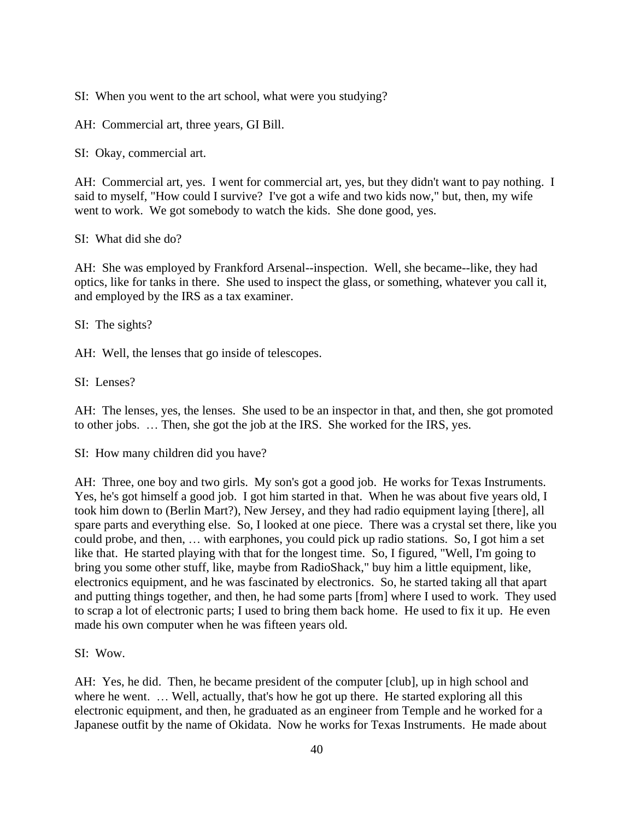SI: When you went to the art school, what were you studying?

AH: Commercial art, three years, GI Bill.

SI: Okay, commercial art.

AH: Commercial art, yes. I went for commercial art, yes, but they didn't want to pay nothing. I said to myself, "How could I survive? I've got a wife and two kids now," but, then, my wife went to work. We got somebody to watch the kids. She done good, yes.

SI: What did she do?

AH: She was employed by Frankford Arsenal--inspection. Well, she became--like, they had optics, like for tanks in there. She used to inspect the glass, or something, whatever you call it, and employed by the IRS as a tax examiner.

SI: The sights?

AH: Well, the lenses that go inside of telescopes.

SI: Lenses?

AH: The lenses, yes, the lenses. She used to be an inspector in that, and then, she got promoted to other jobs. … Then, she got the job at the IRS. She worked for the IRS, yes.

SI: How many children did you have?

AH: Three, one boy and two girls. My son's got a good job. He works for Texas Instruments. Yes, he's got himself a good job. I got him started in that. When he was about five years old, I took him down to (Berlin Mart?), New Jersey, and they had radio equipment laying [there], all spare parts and everything else. So, I looked at one piece. There was a crystal set there, like you could probe, and then, … with earphones, you could pick up radio stations. So, I got him a set like that. He started playing with that for the longest time. So, I figured, "Well, I'm going to bring you some other stuff, like, maybe from RadioShack," buy him a little equipment, like, electronics equipment, and he was fascinated by electronics. So, he started taking all that apart and putting things together, and then, he had some parts [from] where I used to work. They used to scrap a lot of electronic parts; I used to bring them back home. He used to fix it up. He even made his own computer when he was fifteen years old.

SI: Wow.

AH: Yes, he did. Then, he became president of the computer [club], up in high school and where he went. ... Well, actually, that's how he got up there. He started exploring all this electronic equipment, and then, he graduated as an engineer from Temple and he worked for a Japanese outfit by the name of Okidata. Now he works for Texas Instruments. He made about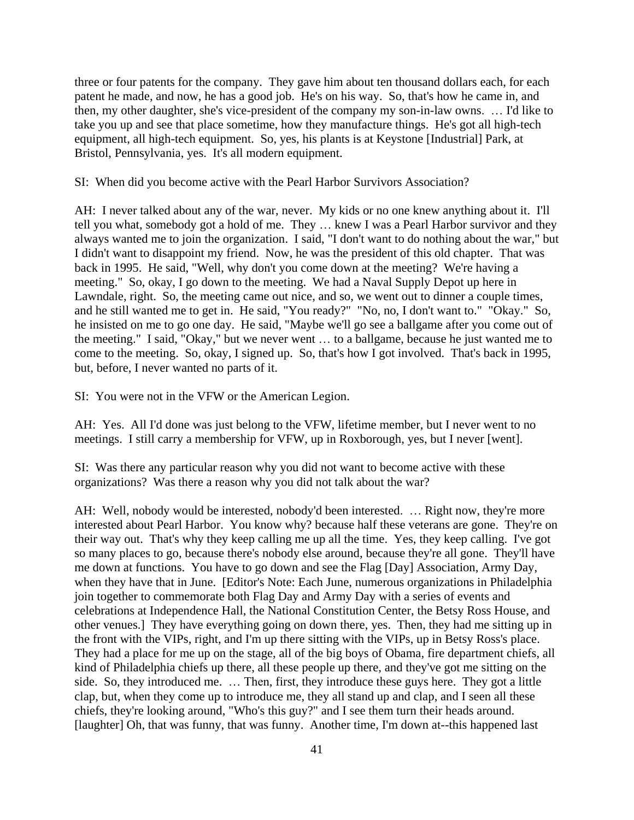three or four patents for the company. They gave him about ten thousand dollars each, for each patent he made, and now, he has a good job. He's on his way. So, that's how he came in, and then, my other daughter, she's vice-president of the company my son-in-law owns. … I'd like to take you up and see that place sometime, how they manufacture things. He's got all high-tech equipment, all high-tech equipment. So, yes, his plants is at Keystone [Industrial] Park, at Bristol, Pennsylvania, yes. It's all modern equipment.

SI: When did you become active with the Pearl Harbor Survivors Association?

AH: I never talked about any of the war, never. My kids or no one knew anything about it. I'll tell you what, somebody got a hold of me. They … knew I was a Pearl Harbor survivor and they always wanted me to join the organization. I said, "I don't want to do nothing about the war," but I didn't want to disappoint my friend. Now, he was the president of this old chapter. That was back in 1995. He said, "Well, why don't you come down at the meeting? We're having a meeting." So, okay, I go down to the meeting. We had a Naval Supply Depot up here in Lawndale, right. So, the meeting came out nice, and so, we went out to dinner a couple times, and he still wanted me to get in. He said, "You ready?" "No, no, I don't want to." "Okay." So, he insisted on me to go one day. He said, "Maybe we'll go see a ballgame after you come out of the meeting." I said, "Okay," but we never went … to a ballgame, because he just wanted me to come to the meeting. So, okay, I signed up. So, that's how I got involved. That's back in 1995, but, before, I never wanted no parts of it.

SI: You were not in the VFW or the American Legion.

AH: Yes. All I'd done was just belong to the VFW, lifetime member, but I never went to no meetings. I still carry a membership for VFW, up in Roxborough, yes, but I never [went].

SI: Was there any particular reason why you did not want to become active with these organizations? Was there a reason why you did not talk about the war?

AH: Well, nobody would be interested, nobody'd been interested. … Right now, they're more interested about Pearl Harbor. You know why? because half these veterans are gone. They're on their way out. That's why they keep calling me up all the time. Yes, they keep calling. I've got so many places to go, because there's nobody else around, because they're all gone. They'll have me down at functions. You have to go down and see the Flag [Day] Association, Army Day, when they have that in June. [Editor's Note: Each June, numerous organizations in Philadelphia join together to commemorate both Flag Day and Army Day with a series of events and celebrations at Independence Hall, the National Constitution Center, the Betsy Ross House, and other venues.] They have everything going on down there, yes. Then, they had me sitting up in the front with the VIPs, right, and I'm up there sitting with the VIPs, up in Betsy Ross's place. They had a place for me up on the stage, all of the big boys of Obama, fire department chiefs, all kind of Philadelphia chiefs up there, all these people up there, and they've got me sitting on the side. So, they introduced me. … Then, first, they introduce these guys here. They got a little clap, but, when they come up to introduce me, they all stand up and clap, and I seen all these chiefs, they're looking around, "Who's this guy?" and I see them turn their heads around. [laughter] Oh, that was funny, that was funny. Another time, I'm down at--this happened last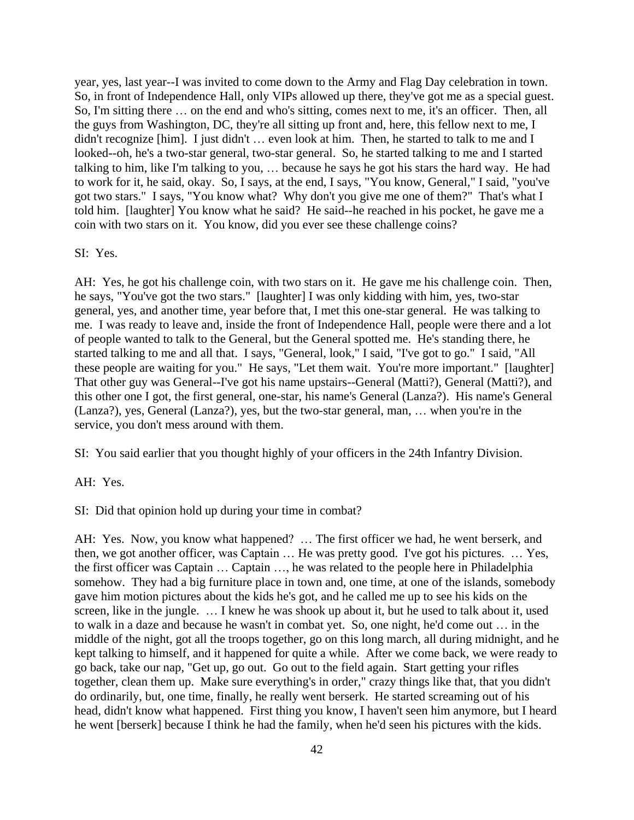year, yes, last year--I was invited to come down to the Army and Flag Day celebration in town. So, in front of Independence Hall, only VIPs allowed up there, they've got me as a special guest. So, I'm sitting there … on the end and who's sitting, comes next to me, it's an officer. Then, all the guys from Washington, DC, they're all sitting up front and, here, this fellow next to me, I didn't recognize [him]. I just didn't … even look at him. Then, he started to talk to me and I looked--oh, he's a two-star general, two-star general. So, he started talking to me and I started talking to him, like I'm talking to you, … because he says he got his stars the hard way. He had to work for it, he said, okay. So, I says, at the end, I says, "You know, General," I said, "you've got two stars." I says, "You know what? Why don't you give me one of them?" That's what I told him. [laughter] You know what he said? He said--he reached in his pocket, he gave me a coin with two stars on it. You know, did you ever see these challenge coins?

## SI: Yes.

AH: Yes, he got his challenge coin, with two stars on it. He gave me his challenge coin. Then, he says, "You've got the two stars." [laughter] I was only kidding with him, yes, two-star general, yes, and another time, year before that, I met this one-star general. He was talking to me. I was ready to leave and, inside the front of Independence Hall, people were there and a lot of people wanted to talk to the General, but the General spotted me. He's standing there, he started talking to me and all that. I says, "General, look," I said, "I've got to go." I said, "All these people are waiting for you." He says, "Let them wait. You're more important." [laughter] That other guy was General--I've got his name upstairs--General (Matti?), General (Matti?), and this other one I got, the first general, one-star, his name's General (Lanza?). His name's General (Lanza?), yes, General (Lanza?), yes, but the two-star general, man, … when you're in the service, you don't mess around with them.

SI: You said earlier that you thought highly of your officers in the 24th Infantry Division.

AH: Yes.

SI: Did that opinion hold up during your time in combat?

AH: Yes. Now, you know what happened? … The first officer we had, he went berserk, and then, we got another officer, was Captain … He was pretty good. I've got his pictures. … Yes, the first officer was Captain … Captain …, he was related to the people here in Philadelphia somehow. They had a big furniture place in town and, one time, at one of the islands, somebody gave him motion pictures about the kids he's got, and he called me up to see his kids on the screen, like in the jungle. … I knew he was shook up about it, but he used to talk about it, used to walk in a daze and because he wasn't in combat yet. So, one night, he'd come out … in the middle of the night, got all the troops together, go on this long march, all during midnight, and he kept talking to himself, and it happened for quite a while. After we come back, we were ready to go back, take our nap, "Get up, go out. Go out to the field again. Start getting your rifles together, clean them up. Make sure everything's in order," crazy things like that, that you didn't do ordinarily, but, one time, finally, he really went berserk. He started screaming out of his head, didn't know what happened. First thing you know, I haven't seen him anymore, but I heard he went [berserk] because I think he had the family, when he'd seen his pictures with the kids.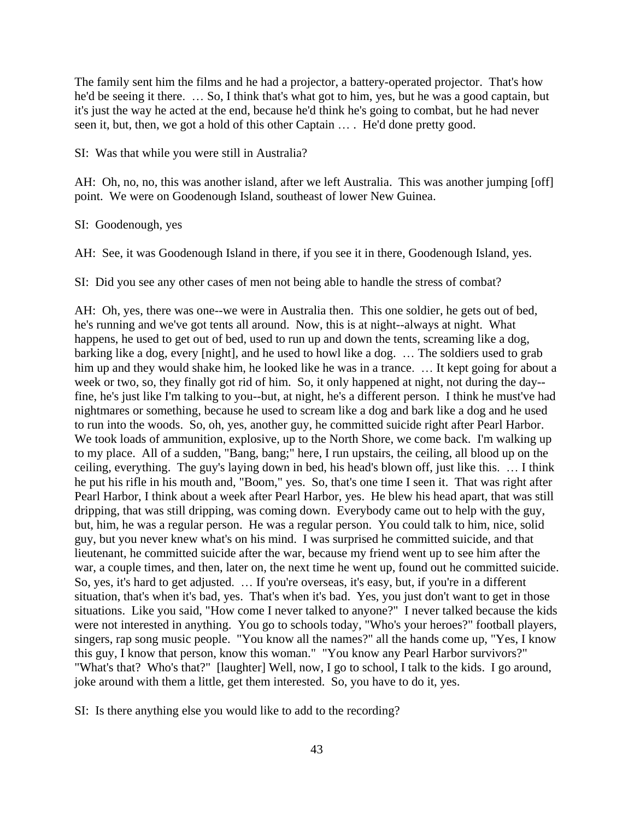The family sent him the films and he had a projector, a battery-operated projector. That's how he'd be seeing it there. … So, I think that's what got to him, yes, but he was a good captain, but it's just the way he acted at the end, because he'd think he's going to combat, but he had never seen it, but, then, we got a hold of this other Captain … . He'd done pretty good.

SI: Was that while you were still in Australia?

AH: Oh, no, no, this was another island, after we left Australia. This was another jumping [off] point. We were on Goodenough Island, southeast of lower New Guinea.

SI: Goodenough, yes

AH: See, it was Goodenough Island in there, if you see it in there, Goodenough Island, yes.

SI: Did you see any other cases of men not being able to handle the stress of combat?

AH: Oh, yes, there was one--we were in Australia then. This one soldier, he gets out of bed, he's running and we've got tents all around. Now, this is at night--always at night. What happens, he used to get out of bed, used to run up and down the tents, screaming like a dog, barking like a dog, every [night], and he used to howl like a dog. … The soldiers used to grab him up and they would shake him, he looked like he was in a trance. ... It kept going for about a week or two, so, they finally got rid of him. So, it only happened at night, not during the day- fine, he's just like I'm talking to you--but, at night, he's a different person. I think he must've had nightmares or something, because he used to scream like a dog and bark like a dog and he used to run into the woods. So, oh, yes, another guy, he committed suicide right after Pearl Harbor. We took loads of ammunition, explosive, up to the North Shore, we come back. I'm walking up to my place. All of a sudden, "Bang, bang;" here, I run upstairs, the ceiling, all blood up on the ceiling, everything. The guy's laying down in bed, his head's blown off, just like this. … I think he put his rifle in his mouth and, "Boom," yes. So, that's one time I seen it. That was right after Pearl Harbor, I think about a week after Pearl Harbor, yes. He blew his head apart, that was still dripping, that was still dripping, was coming down. Everybody came out to help with the guy, but, him, he was a regular person. He was a regular person. You could talk to him, nice, solid guy, but you never knew what's on his mind. I was surprised he committed suicide, and that lieutenant, he committed suicide after the war, because my friend went up to see him after the war, a couple times, and then, later on, the next time he went up, found out he committed suicide. So, yes, it's hard to get adjusted. ... If you're overseas, it's easy, but, if you're in a different situation, that's when it's bad, yes. That's when it's bad. Yes, you just don't want to get in those situations. Like you said, "How come I never talked to anyone?" I never talked because the kids were not interested in anything. You go to schools today, "Who's your heroes?" football players, singers, rap song music people. "You know all the names?" all the hands come up, "Yes, I know this guy, I know that person, know this woman." "You know any Pearl Harbor survivors?" "What's that? Who's that?" [laughter] Well, now, I go to school, I talk to the kids. I go around, joke around with them a little, get them interested. So, you have to do it, yes.

SI: Is there anything else you would like to add to the recording?